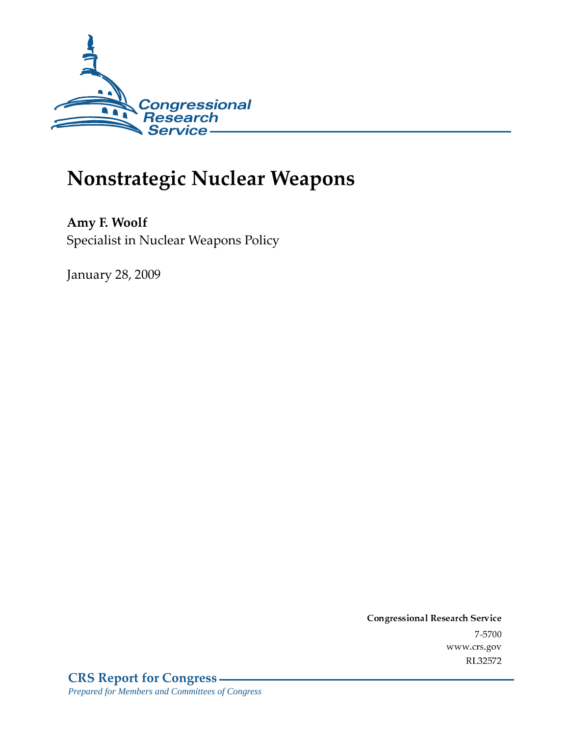

# Nonstrategic Nuclear Weapons

Amy F. Woolf Specialist in Nuclear Weapons Policy

**January 28, 2009** 

Conglessional Research Service  $7 - 2700$ www.crs.gov RL32572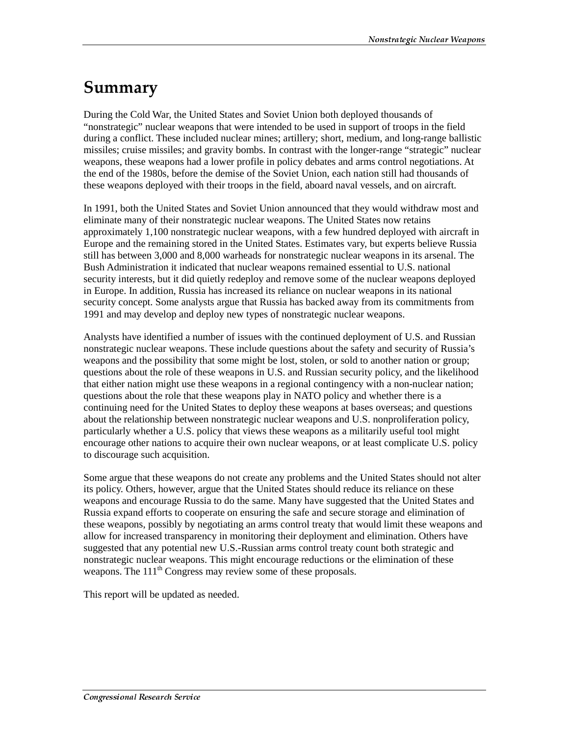## Summary

During the Cold War, the United States and Soviet Union both deployed thousands of "nonstrategic" nuclear weapons that were intended to be used in support of troops in the field during a conflict. These included nuclear mines; artillery; short, medium, and long-range ballistic missiles; cruise missiles; and gravity bombs. In contrast with the longer-range "strategic" nuclear weapons, these weapons had a lower profile in policy debates and arms control negotiations. At the end of the 1980s, before the demise of the Soviet Union, each nation still had thousands of these weapons deployed with their troops in the field, aboard naval vessels, and on aircraft.

In 1991, both the United States and Soviet Union announced that they would withdraw most and eliminate many of their nonstrategic nuclear weapons. The United States now retains approximately 1,100 nonstrategic nuclear weapons, with a few hundred deployed with aircraft in Europe and the remaining stored in the United States. Estimates vary, but experts believe Russia still has between 3,000 and 8,000 warheads for nonstrategic nuclear weapons in its arsenal. The Bush Administration it indicated that nuclear weapons remained essential to U.S. national security interests, but it did quietly redeploy and remove some of the nuclear weapons deployed in Europe. In addition, Russia has increased its reliance on nuclear weapons in its national security concept. Some analysts argue that Russia has backed away from its commitments from 1991 and may develop and deploy new types of nonstrategic nuclear weapons.

Analysts have identified a number of issues with the continued deployment of U.S. and Russian nonstrategic nuclear weapons. These include questions about the safety and security of Russia's weapons and the possibility that some might be lost, stolen, or sold to another nation or group; questions about the role of these weapons in U.S. and Russian security policy, and the likelihood that either nation might use these weapons in a regional contingency with a non-nuclear nation; questions about the role that these weapons play in NATO policy and whether there is a continuing need for the United States to deploy these weapons at bases overseas; and questions about the relationship between nonstrategic nuclear weapons and U.S. nonproliferation policy, particularly whether a U.S. policy that views these weapons as a militarily useful tool might encourage other nations to acquire their own nuclear weapons, or at least complicate U.S. policy to discourage such acquisition.

Some argue that these weapons do not create any problems and the United States should not alter its policy. Others, however, argue that the United States should reduce its reliance on these weapons and encourage Russia to do the same. Many have suggested that the United States and Russia expand efforts to cooperate on ensuring the safe and secure storage and elimination of these weapons, possibly by negotiating an arms control treaty that would limit these weapons and allow for increased transparency in monitoring their deployment and elimination. Others have suggested that any potential new U.S.-Russian arms control treaty count both strategic and nonstrategic nuclear weapons. This might encourage reductions or the elimination of these weapons. The 111<sup>th</sup> Congress may review some of these proposals.

This report will be updated as needed.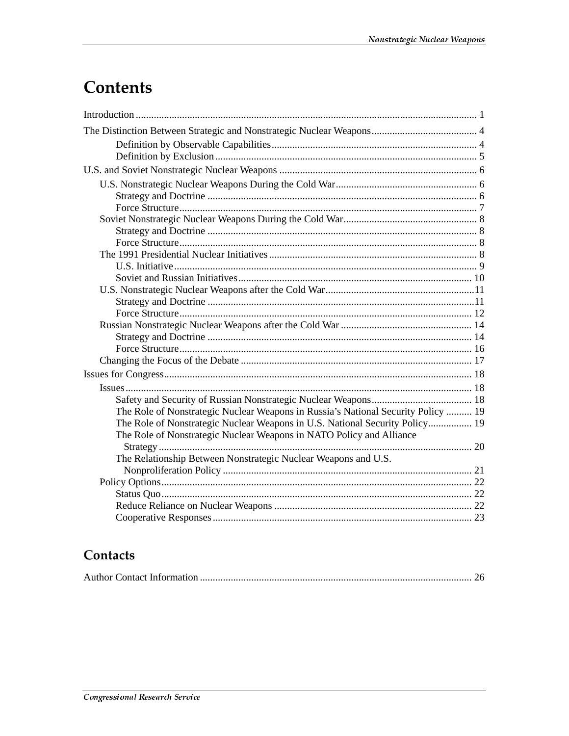## **Contents**

| The Role of Nonstrategic Nuclear Weapons in Russia's National Security Policy  19 |  |
|-----------------------------------------------------------------------------------|--|
| The Role of Nonstrategic Nuclear Weapons in U.S. National Security Policy 19      |  |
| The Role of Nonstrategic Nuclear Weapons in NATO Policy and Alliance              |  |
|                                                                                   |  |
| The Relationship Between Nonstrategic Nuclear Weapons and U.S.                    |  |
|                                                                                   |  |
|                                                                                   |  |
|                                                                                   |  |
|                                                                                   |  |
|                                                                                   |  |

## Contacts

|--|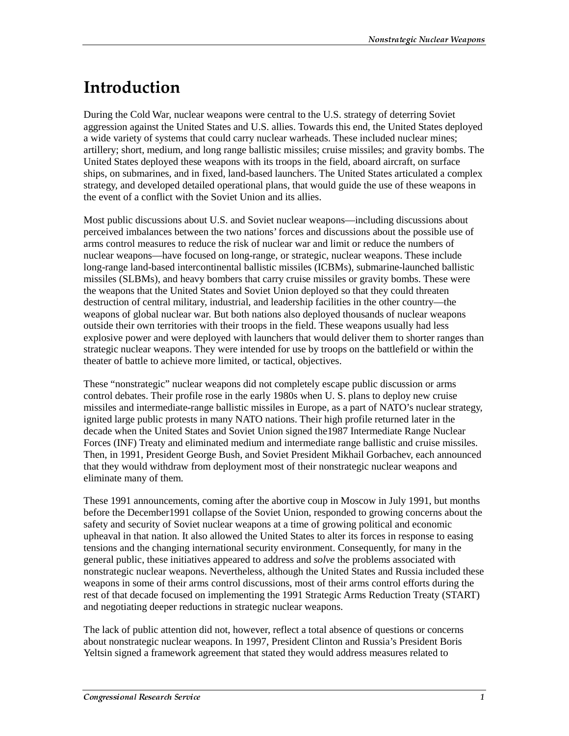## <u>Introduction</u>

During the Cold War, nuclear weapons were central to the U.S. strategy of deterring Soviet aggression against the United States and U.S. allies. Towards this end, the United States deployed a wide variety of systems that could carry nuclear warheads. These included nuclear mines; artillery; short, medium, and long range ballistic missiles; cruise missiles; and gravity bombs. The United States deployed these weapons with its troops in the field, aboard aircraft, on surface ships, on submarines, and in fixed, land-based launchers. The United States articulated a complex strategy, and developed detailed operational plans, that would guide the use of these weapons in the event of a conflict with the Soviet Union and its allies.

Most public discussions about U.S. and Soviet nuclear weapons—including discussions about perceived imbalances between the two nations' forces and discussions about the possible use of arms control measures to reduce the risk of nuclear war and limit or reduce the numbers of nuclear weapons—have focused on long-range, or strategic, nuclear weapons. These include long-range land-based intercontinental ballistic missiles (ICBMs), submarine-launched ballistic missiles (SLBMs), and heavy bombers that carry cruise missiles or gravity bombs. These were the weapons that the United States and Soviet Union deployed so that they could threaten destruction of central military, industrial, and leadership facilities in the other country—the weapons of global nuclear war. But both nations also deployed thousands of nuclear weapons outside their own territories with their troops in the field. These weapons usually had less explosive power and were deployed with launchers that would deliver them to shorter ranges than strategic nuclear weapons. They were intended for use by troops on the battlefield or within the theater of battle to achieve more limited, or tactical, objectives.

These "nonstrategic" nuclear weapons did not completely escape public discussion or arms control debates. Their profile rose in the early 1980s when U. S. plans to deploy new cruise missiles and intermediate-range ballistic missiles in Europe, as a part of NATO's nuclear strategy, ignited large public protests in many NATO nations. Their high profile returned later in the decade when the United States and Soviet Union signed the1987 Intermediate Range Nuclear Forces (INF) Treaty and eliminated medium and intermediate range ballistic and cruise missiles. Then, in 1991, President George Bush, and Soviet President Mikhail Gorbachev, each announced that they would withdraw from deployment most of their nonstrategic nuclear weapons and eliminate many of them.

These 1991 announcements, coming after the abortive coup in Moscow in July 1991, but months before the December1991 collapse of the Soviet Union, responded to growing concerns about the safety and security of Soviet nuclear weapons at a time of growing political and economic upheaval in that nation. It also allowed the United States to alter its forces in response to easing tensions and the changing international security environment. Consequently, for many in the general public, these initiatives appeared to address and *solve* the problems associated with nonstrategic nuclear weapons. Nevertheless, although the United States and Russia included these weapons in some of their arms control discussions, most of their arms control efforts during the rest of that decade focused on implementing the 1991 Strategic Arms Reduction Treaty (START) and negotiating deeper reductions in strategic nuclear weapons.

The lack of public attention did not, however, reflect a total absence of questions or concerns about nonstrategic nuclear weapons. In 1997, President Clinton and Russia's President Boris Yeltsin signed a framework agreement that stated they would address measures related to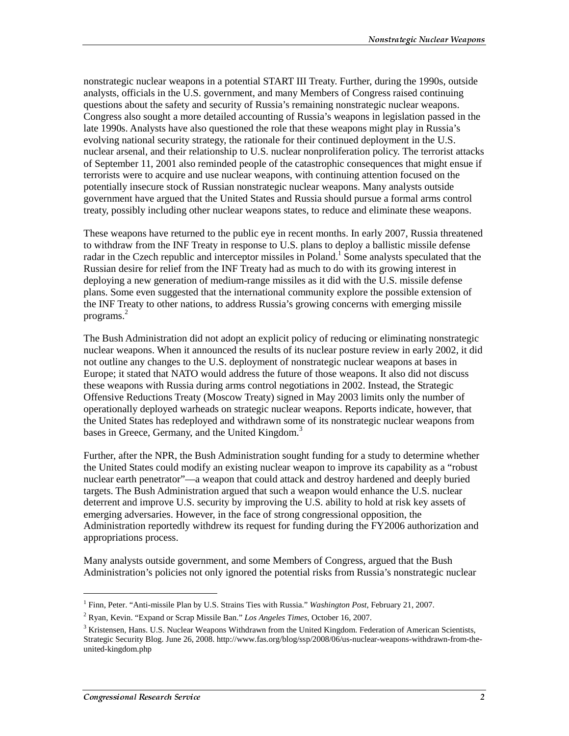nonstrategic nuclear weapons in a potential START III Treaty. Further, during the 1990s, outside analysts, officials in the U.S. government, and many Members of Congress raised continuing questions about the safety and security of Russia's remaining nonstrategic nuclear weapons. Congress also sought a more detailed accounting of Russia's weapons in legislation passed in the late 1990s. Analysts have also questioned the role that these weapons might play in Russia's evolving national security strategy, the rationale for their continued deployment in the U.S. nuclear arsenal, and their relationship to U.S. nuclear nonproliferation policy. The terrorist attacks of September 11, 2001 also reminded people of the catastrophic consequences that might ensue if terrorists were to acquire and use nuclear weapons, with continuing attention focused on the potentially insecure stock of Russian nonstrategic nuclear weapons. Many analysts outside government have argued that the United States and Russia should pursue a formal arms control treaty, possibly including other nuclear weapons states, to reduce and eliminate these weapons.

These weapons have returned to the public eye in recent months. In early 2007, Russia threatened to withdraw from the INF Treaty in response to U.S. plans to deploy a ballistic missile defense radar in the Czech republic and interceptor missiles in Poland.<sup>1</sup> Some analysts speculated that the Russian desire for relief from the INF Treaty had as much to do with its growing interest in deploying a new generation of medium-range missiles as it did with the U.S. missile defense plans. Some even suggested that the international community explore the possible extension of the INF Treaty to other nations, to address Russia's growing concerns with emerging missile programs.<sup>2</sup>

The Bush Administration did not adopt an explicit policy of reducing or eliminating nonstrategic nuclear weapons. When it announced the results of its nuclear posture review in early 2002, it did not outline any changes to the U.S. deployment of nonstrategic nuclear weapons at bases in Europe; it stated that NATO would address the future of those weapons. It also did not discuss these weapons with Russia during arms control negotiations in 2002. Instead, the Strategic Offensive Reductions Treaty (Moscow Treaty) signed in May 2003 limits only the number of operationally deployed warheads on strategic nuclear weapons. Reports indicate, however, that the United States has redeployed and withdrawn some of its nonstrategic nuclear weapons from bases in Greece, Germany, and the United Kingdom.<sup>3</sup>

Further, after the NPR, the Bush Administration sought funding for a study to determine whether the United States could modify an existing nuclear weapon to improve its capability as a "robust nuclear earth penetrator"—a weapon that could attack and destroy hardened and deeply buried targets. The Bush Administration argued that such a weapon would enhance the U.S. nuclear deterrent and improve U.S. security by improving the U.S. ability to hold at risk key assets of emerging adversaries. However, in the face of strong congressional opposition, the Administration reportedly withdrew its request for funding during the FY2006 authorization and appropriations process.

Many analysts outside government, and some Members of Congress, argued that the Bush Administration's policies not only ignored the potential risks from Russia's nonstrategic nuclear

<sup>1</sup> Finn, Peter. "Anti-missile Plan by U.S. Strains Ties with Russia." *Washington Post*, February 21, 2007.

<sup>2</sup> Ryan, Kevin. "Expand or Scrap Missile Ban." *Los Angeles Times*, October 16, 2007.

<sup>&</sup>lt;sup>3</sup> Kristensen, Hans. U.S. Nuclear Weapons Withdrawn from the United Kingdom. Federation of American Scientists, Strategic Security Blog. June 26, 2008. http://www.fas.org/blog/ssp/2008/06/us-nuclear-weapons-withdrawn-from-theunited-kingdom.php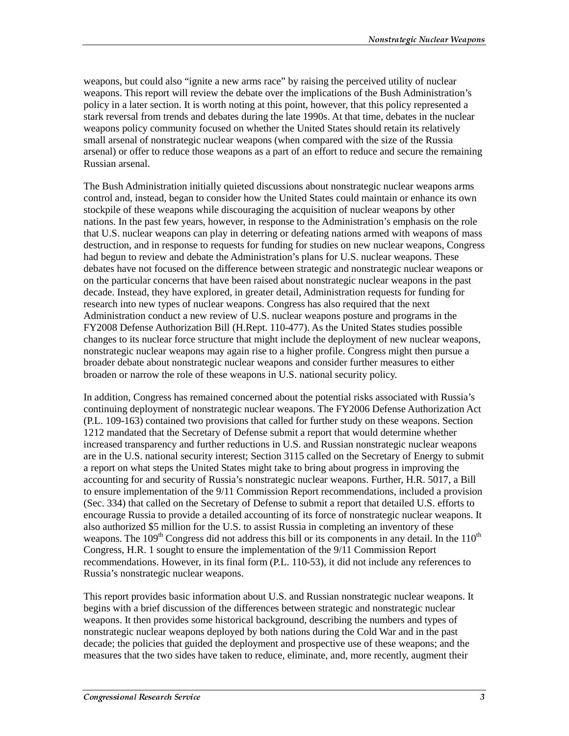weapons, but could also "ignite a new arms race" by raising the perceived utility of nuclear weapons. This report will review the debate over the implications of the Bush Administration's policy in a later section. It is worth noting at this point, however, that this policy represented a stark reversal from trends and debates during the late 1990s. At that time, debates in the nuclear weapons policy community focused on whether the United States should retain its relatively small arsenal of nonstrategic nuclear weapons (when compared with the size of the Russia arsenal) or offer to reduce those weapons as a part of an effort to reduce and secure the remaining Russian arsenal.

The Bush Administration initially quieted discussions about nonstrategic nuclear weapons arms control and, instead, began to consider how the United States could maintain or enhance its own stockpile of these weapons while discouraging the acquisition of nuclear weapons by other nations. In the past few years, however, in response to the Administration's emphasis on the role that U.S. nuclear weapons can play in deterring or defeating nations armed with weapons of mass destruction, and in response to requests for funding for studies on new nuclear weapons, Congress had begun to review and debate the Administration's plans for U.S. nuclear weapons. These debates have not focused on the difference between strategic and nonstrategic nuclear weapons or on the particular concerns that have been raised about nonstrategic nuclear weapons in the past decade. Instead, they have explored, in greater detail, Administration requests for funding for research into new types of nuclear weapons. Congress has also required that the next Administration conduct a new review of U.S. nuclear weapons posture and programs in the FY2008 Defense Authorization Bill (H.Rept. 110-477). As the United States studies possible changes to its nuclear force structure that might include the deployment of new nuclear weapons, nonstrategic nuclear weapons may again rise to a higher profile. Congress might then pursue a broader debate about nonstrategic nuclear weapons and consider further measures to either broaden or narrow the role of these weapons in U.S. national security policy.

In addition, Congress has remained concerned about the potential risks associated with Russia's continuing deployment of nonstrategic nuclear weapons. The FY2006 Defense Authorization Act (P.L. 109-163) contained two provisions that called for further study on these weapons. Section 1212 mandated that the Secretary of Defense submit a report that would determine whether increased transparency and further reductions in U.S. and Russian nonstrategic nuclear weapons are in the U.S. national security interest; Section 3115 called on the Secretary of Energy to submit a report on what steps the United States might take to bring about progress in improving the accounting for and security of Russia's nonstrategic nuclear weapons. Further, H.R. 5017, a Bill to ensure implementation of the 9/11 Commission Report recommendations, included a provision (Sec. 334) that called on the Secretary of Defense to submit a report that detailed U.S. efforts to encourage Russia to provide a detailed accounting of its force of nonstrategic nuclear weapons. It also authorized \$5 million for the U.S. to assist Russia in completing an inventory of these weapons. The  $109<sup>th</sup>$  Congress did not address this bill or its components in any detail. In the  $110<sup>th</sup>$ Congress, H.R. 1 sought to ensure the implementation of the 9/11 Commission Report recommendations. However, in its final form (P.L. 110-53), it did not include any references to Russia's nonstrategic nuclear weapons.

This report provides basic information about U.S. and Russian nonstrategic nuclear weapons. It begins with a brief discussion of the differences between strategic and nonstrategic nuclear weapons. It then provides some historical background, describing the numbers and types of nonstrategic nuclear weapons deployed by both nations during the Cold War and in the past decade; the policies that guided the deployment and prospective use of these weapons; and the measures that the two sides have taken to reduce, eliminate, and, more recently, augment their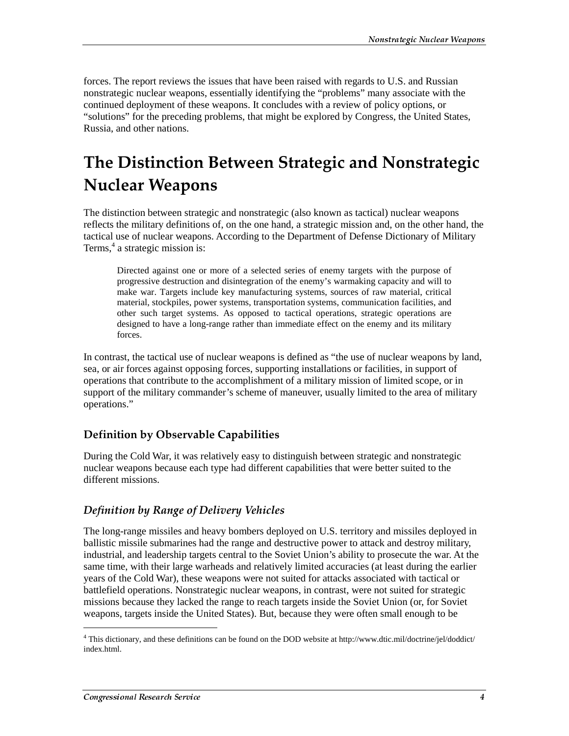forces. The report reviews the issues that have been raised with regards to U.S. and Russian nonstrategic nuclear weapons, essentially identifying the "problems" many associate with the continued deployment of these weapons. It concludes with a review of policy options, or "solutions" for the preceding problems, that might be explored by Congress, the United States, Russia, and other nations.

## The Distinction Between Strategic and Nonstrategic **Nuclear Weapons**

The distinction between strategic and nonstrategic (also known as tactical) nuclear weapons reflects the military definitions of, on the one hand, a strategic mission and, on the other hand, the tactical use of nuclear weapons. According to the Department of Defense Dictionary of Military Terms,<sup>4</sup> a strategic mission is:

Directed against one or more of a selected series of enemy targets with the purpose of progressive destruction and disintegration of the enemy's warmaking capacity and will to make war. Targets include key manufacturing systems, sources of raw material, critical material, stockpiles, power systems, transportation systems, communication facilities, and other such target systems. As opposed to tactical operations, strategic operations are designed to have a long-range rather than immediate effect on the enemy and its military forces.

In contrast, the tactical use of nuclear weapons is defined as "the use of nuclear weapons by land, sea, or air forces against opposing forces, supporting installations or facilities, in support of operations that contribute to the accomplishment of a military mission of limited scope, or in support of the military commander's scheme of maneuver, usually limited to the area of military operations."

## Definition by Observable Capabilities

During the Cold War, it was relatively easy to distinguish between strategic and nonstrategic nuclear weapons because each type had different capabilities that were better suited to the different missions.

## Definition by Range of Delivery Vehicles

The long-range missiles and heavy bombers deployed on U.S. territory and missiles deployed in ballistic missile submarines had the range and destructive power to attack and destroy military, industrial, and leadership targets central to the Soviet Union's ability to prosecute the war. At the same time, with their large warheads and relatively limited accuracies (at least during the earlier years of the Cold War), these weapons were not suited for attacks associated with tactical or battlefield operations. Nonstrategic nuclear weapons, in contrast, were not suited for strategic missions because they lacked the range to reach targets inside the Soviet Union (or, for Soviet weapons, targets inside the United States). But, because they were often small enough to be

<sup>4</sup> This dictionary, and these definitions can be found on the DOD website at http://www.dtic.mil/doctrine/jel/doddict/ index.html.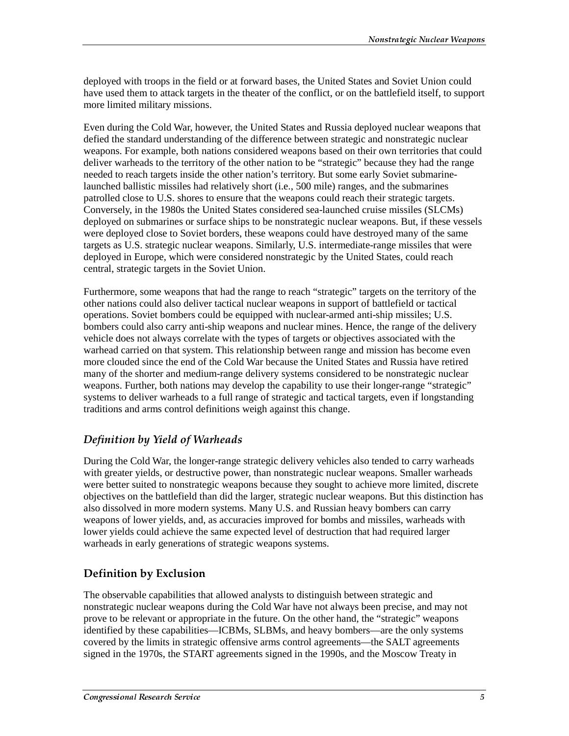deployed with troops in the field or at forward bases, the United States and Soviet Union could have used them to attack targets in the theater of the conflict, or on the battlefield itself, to support more limited military missions.

Even during the Cold War, however, the United States and Russia deployed nuclear weapons that defied the standard understanding of the difference between strategic and nonstrategic nuclear weapons. For example, both nations considered weapons based on their own territories that could deliver warheads to the territory of the other nation to be "strategic" because they had the range needed to reach targets inside the other nation's territory. But some early Soviet submarinelaunched ballistic missiles had relatively short (i.e., 500 mile) ranges, and the submarines patrolled close to U.S. shores to ensure that the weapons could reach their strategic targets. Conversely, in the 1980s the United States considered sea-launched cruise missiles (SLCMs) deployed on submarines or surface ships to be nonstrategic nuclear weapons. But, if these vessels were deployed close to Soviet borders, these weapons could have destroyed many of the same targets as U.S. strategic nuclear weapons. Similarly, U.S. intermediate-range missiles that were deployed in Europe, which were considered nonstrategic by the United States, could reach central, strategic targets in the Soviet Union.

Furthermore, some weapons that had the range to reach "strategic" targets on the territory of the other nations could also deliver tactical nuclear weapons in support of battlefield or tactical operations. Soviet bombers could be equipped with nuclear-armed anti-ship missiles; U.S. bombers could also carry anti-ship weapons and nuclear mines. Hence, the range of the delivery vehicle does not always correlate with the types of targets or objectives associated with the warhead carried on that system. This relationship between range and mission has become even more clouded since the end of the Cold War because the United States and Russia have retired many of the shorter and medium-range delivery systems considered to be nonstrategic nuclear weapons. Further, both nations may develop the capability to use their longer-range "strategic" systems to deliver warheads to a full range of strategic and tactical targets, even if longstanding traditions and arms control definitions weigh against this change.

## Definition by Yield of Warheads

During the Cold War, the longer-range strategic delivery vehicles also tended to carry warheads with greater yields, or destructive power, than nonstrategic nuclear weapons. Smaller warheads were better suited to nonstrategic weapons because they sought to achieve more limited, discrete objectives on the battlefield than did the larger, strategic nuclear weapons. But this distinction has also dissolved in more modern systems. Many U.S. and Russian heavy bombers can carry weapons of lower yields, and, as accuracies improved for bombs and missiles, warheads with lower yields could achieve the same expected level of destruction that had required larger warheads in early generations of strategic weapons systems.

## Definition by Exclusion

The observable capabilities that allowed analysts to distinguish between strategic and nonstrategic nuclear weapons during the Cold War have not always been precise, and may not prove to be relevant or appropriate in the future. On the other hand, the "strategic" weapons identified by these capabilities—ICBMs, SLBMs, and heavy bombers—are the only systems covered by the limits in strategic offensive arms control agreements—the SALT agreements signed in the 1970s, the START agreements signed in the 1990s, and the Moscow Treaty in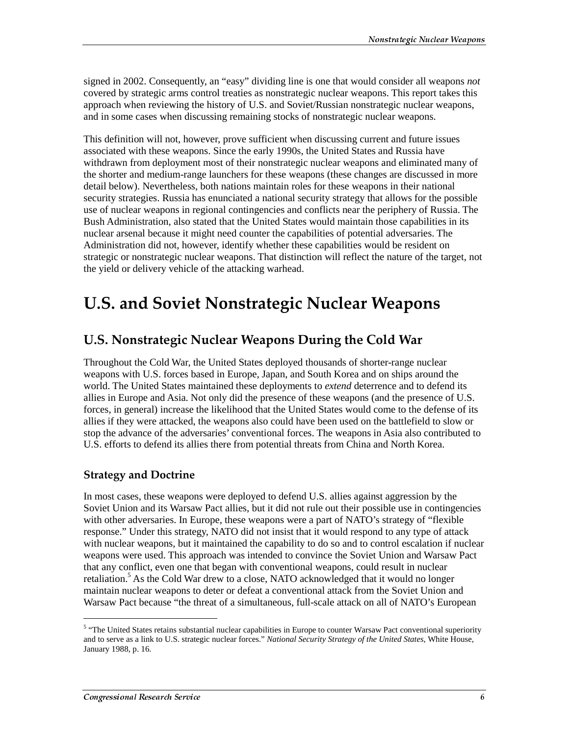signed in 2002. Consequently, an "easy" dividing line is one that would consider all weapons *not* covered by strategic arms control treaties as nonstrategic nuclear weapons. This report takes this approach when reviewing the history of U.S. and Soviet/Russian nonstrategic nuclear weapons, and in some cases when discussing remaining stocks of nonstrategic nuclear weapons.

This definition will not, however, prove sufficient when discussing current and future issues associated with these weapons. Since the early 1990s, the United States and Russia have withdrawn from deployment most of their nonstrategic nuclear weapons and eliminated many of the shorter and medium-range launchers for these weapons (these changes are discussed in more detail below). Nevertheless, both nations maintain roles for these weapons in their national security strategies. Russia has enunciated a national security strategy that allows for the possible use of nuclear weapons in regional contingencies and conflicts near the periphery of Russia. The Bush Administration, also stated that the United States would maintain those capabilities in its nuclear arsenal because it might need counter the capabilities of potential adversaries. The Administration did not, however, identify whether these capabilities would be resident on strategic or nonstrategic nuclear weapons. That distinction will reflect the nature of the target, not the yield or delivery vehicle of the attacking warhead.

## **U.S. and Soviet Nonstrategic Nuclear Weapons**

## U.S. Nonstrategic Nuclear Weapons During the Cold War

Throughout the Cold War, the United States deployed thousands of shorter-range nuclear weapons with U.S. forces based in Europe, Japan, and South Korea and on ships around the world. The United States maintained these deployments to *extend* deterrence and to defend its allies in Europe and Asia. Not only did the presence of these weapons (and the presence of U.S. forces, in general) increase the likelihood that the United States would come to the defense of its allies if they were attacked, the weapons also could have been used on the battlefield to slow or stop the advance of the adversaries' conventional forces. The weapons in Asia also contributed to U.S. efforts to defend its allies there from potential threats from China and North Korea.

#### **Strategy and Doctrine**

In most cases, these weapons were deployed to defend U.S. allies against aggression by the Soviet Union and its Warsaw Pact allies, but it did not rule out their possible use in contingencies with other adversaries. In Europe, these weapons were a part of NATO's strategy of "flexible response." Under this strategy, NATO did not insist that it would respond to any type of attack with nuclear weapons, but it maintained the capability to do so and to control escalation if nuclear weapons were used. This approach was intended to convince the Soviet Union and Warsaw Pact that any conflict, even one that began with conventional weapons, could result in nuclear retaliation.<sup>5</sup> As the Cold War drew to a close, NATO acknowledged that it would no longer maintain nuclear weapons to deter or defeat a conventional attack from the Soviet Union and Warsaw Pact because "the threat of a simultaneous, full-scale attack on all of NATO's European

<sup>&</sup>lt;sup>5</sup> "The United States retains substantial nuclear capabilities in Europe to counter Warsaw Pact conventional superiority and to serve as a link to U.S. strategic nuclear forces." *National Security Strategy of the United States*, White House, January 1988, p. 16.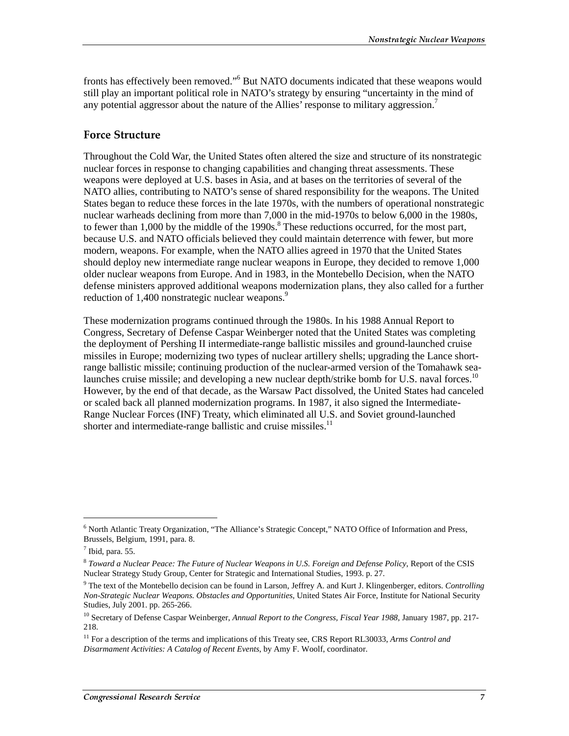fronts has effectively been removed."<sup>6</sup> But NATO documents indicated that these weapons would still play an important political role in NATO's strategy by ensuring "uncertainty in the mind of any potential aggressor about the nature of the Allies' response to military aggression.<sup>7</sup>

#### **Force Structure**

Throughout the Cold War, the United States often altered the size and structure of its nonstrategic nuclear forces in response to changing capabilities and changing threat assessments. These weapons were deployed at U.S. bases in Asia, and at bases on the territories of several of the NATO allies, contributing to NATO's sense of shared responsibility for the weapons. The United States began to reduce these forces in the late 1970s, with the numbers of operational nonstrategic nuclear warheads declining from more than 7,000 in the mid-1970s to below 6,000 in the 1980s, to fewer than  $1,000$  by the middle of the 1990s. $8$  These reductions occurred, for the most part, because U.S. and NATO officials believed they could maintain deterrence with fewer, but more modern, weapons. For example, when the NATO allies agreed in 1970 that the United States should deploy new intermediate range nuclear weapons in Europe, they decided to remove 1,000 older nuclear weapons from Europe. And in 1983, in the Montebello Decision, when the NATO defense ministers approved additional weapons modernization plans, they also called for a further reduction of 1,400 nonstrategic nuclear weapons.<sup>9</sup>

These modernization programs continued through the 1980s. In his 1988 Annual Report to Congress, Secretary of Defense Caspar Weinberger noted that the United States was completing the deployment of Pershing II intermediate-range ballistic missiles and ground-launched cruise missiles in Europe; modernizing two types of nuclear artillery shells; upgrading the Lance shortrange ballistic missile; continuing production of the nuclear-armed version of the Tomahawk sealaunches cruise missile; and developing a new nuclear depth/strike bomb for U.S. naval forces.<sup>10</sup> However, by the end of that decade, as the Warsaw Pact dissolved, the United States had canceled or scaled back all planned modernization programs. In 1987, it also signed the Intermediate-Range Nuclear Forces (INF) Treaty, which eliminated all U.S. and Soviet ground-launched shorter and intermediate-range ballistic and cruise missiles. $11$ 

<sup>&</sup>lt;sup>6</sup> North Atlantic Treaty Organization, "The Alliance's Strategic Concept," NATO Office of Information and Press, Brussels, Belgium, 1991, para. 8.

 $<sup>7</sup>$  Ibid, para. 55.</sup>

<sup>8</sup> *Toward a Nuclear Peace: The Future of Nuclear Weapons in U.S. Foreign and Defense Policy*, Report of the CSIS Nuclear Strategy Study Group, Center for Strategic and International Studies, 1993. p. 27.

<sup>9</sup> The text of the Montebello decision can be found in Larson, Jeffrey A. and Kurt J. Klingenberger, editors. *Controlling Non-Strategic Nuclear Weapons. Obstacles and Opportunities*, United States Air Force, Institute for National Security Studies, July 2001. pp. 265-266.

<sup>&</sup>lt;sup>10</sup> Secretary of Defense Caspar Weinberger, *Annual Report to the Congress, Fiscal Year 1988*, January 1987, pp. 217-218.

<sup>&</sup>lt;sup>11</sup> For a description of the terms and implications of this Treaty see, CRS Report RL30033, *Arms Control and Disarmament Activities: A Catalog of Recent Events*, by Amy F. Woolf, coordinator.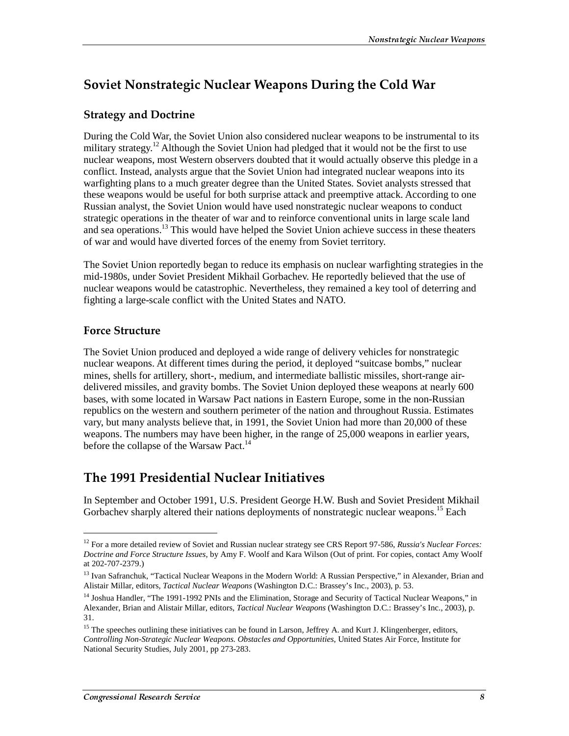## Soviet Nonstrategic Nuclear Weapons During the Cold War

## **Strategy and Doctrine**

During the Cold War, the Soviet Union also considered nuclear weapons to be instrumental to its military strategy.<sup>12</sup> Although the Soviet Union had pledged that it would not be the first to use nuclear weapons, most Western observers doubted that it would actually observe this pledge in a conflict. Instead, analysts argue that the Soviet Union had integrated nuclear weapons into its warfighting plans to a much greater degree than the United States. Soviet analysts stressed that these weapons would be useful for both surprise attack and preemptive attack. According to one Russian analyst, the Soviet Union would have used nonstrategic nuclear weapons to conduct strategic operations in the theater of war and to reinforce conventional units in large scale land and sea operations.<sup>13</sup> This would have helped the Soviet Union achieve success in these theaters of war and would have diverted forces of the enemy from Soviet territory.

The Soviet Union reportedly began to reduce its emphasis on nuclear warfighting strategies in the mid-1980s, under Soviet President Mikhail Gorbachev. He reportedly believed that the use of nuclear weapons would be catastrophic. Nevertheless, they remained a key tool of deterring and fighting a large-scale conflict with the United States and NATO.

## **Force Structure**

 $\overline{a}$ 

The Soviet Union produced and deployed a wide range of delivery vehicles for nonstrategic nuclear weapons. At different times during the period, it deployed "suitcase bombs," nuclear mines, shells for artillery, short-, medium, and intermediate ballistic missiles, short-range airdelivered missiles, and gravity bombs. The Soviet Union deployed these weapons at nearly 600 bases, with some located in Warsaw Pact nations in Eastern Europe, some in the non-Russian republics on the western and southern perimeter of the nation and throughout Russia. Estimates vary, but many analysts believe that, in 1991, the Soviet Union had more than 20,000 of these weapons. The numbers may have been higher, in the range of 25,000 weapons in earlier years, before the collapse of the Warsaw Pact.<sup>14</sup>

## The 1991 Presidential Nuclear Initiatives

In September and October 1991, U.S. President George H.W. Bush and Soviet President Mikhail Gorbachev sharply altered their nations deployments of nonstrategic nuclear weapons.<sup>15</sup> Each

<sup>12</sup> For a more detailed review of Soviet and Russian nuclear strategy see CRS Report 97-586, *Russia's Nuclear Forces: Doctrine and Force Structure Issues*, by Amy F. Woolf and Kara Wilson (Out of print. For copies, contact Amy Woolf at 202-707-2379.)

<sup>&</sup>lt;sup>13</sup> Ivan Safranchuk, "Tactical Nuclear Weapons in the Modern World: A Russian Perspective," in Alexander, Brian and Alistair Millar, editors, *Tactical Nuclear Weapons* (Washington D.C.: Brassey's Inc., 2003), p. 53.

<sup>&</sup>lt;sup>14</sup> Joshua Handler, "The 1991-1992 PNIs and the Elimination, Storage and Security of Tactical Nuclear Weapons," in Alexander, Brian and Alistair Millar, editors, *Tactical Nuclear Weapons* (Washington D.C.: Brassey's Inc., 2003), p. 31.

<sup>&</sup>lt;sup>15</sup> The speeches outlining these initiatives can be found in Larson, Jeffrey A. and Kurt J. Klingenberger, editors, *Controlling Non-Strategic Nuclear Weapons. Obstacles and Opportunities*, United States Air Force, Institute for National Security Studies, July 2001, pp 273-283.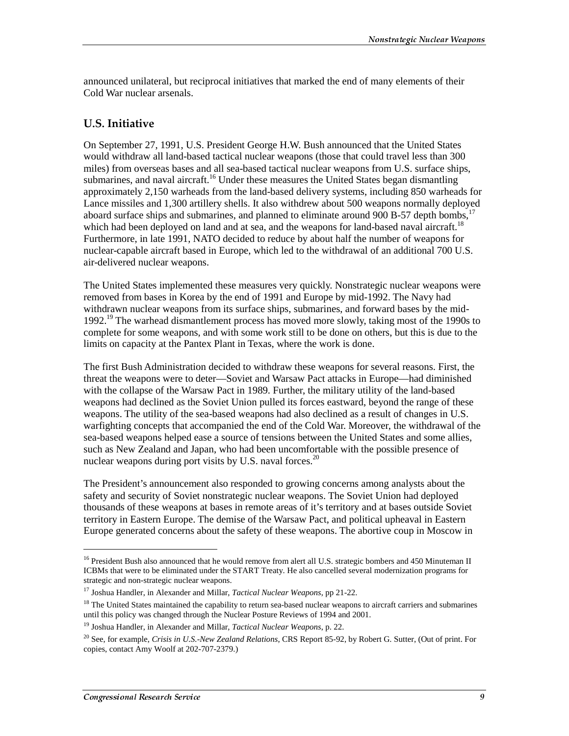announced unilateral, but reciprocal initiatives that marked the end of many elements of their Cold War nuclear arsenals.

#### **U.S. Initiative**

On September 27, 1991, U.S. President George H.W. Bush announced that the United States would withdraw all land-based tactical nuclear weapons (those that could travel less than 300 miles) from overseas bases and all sea-based tactical nuclear weapons from U.S. surface ships, submarines, and naval aircraft.<sup>16</sup> Under these measures the United States began dismantling approximately 2,150 warheads from the land-based delivery systems, including 850 warheads for Lance missiles and 1,300 artillery shells. It also withdrew about 500 weapons normally deployed aboard surface ships and submarines, and planned to eliminate around  $900 B-57$  depth bombs,<sup>17</sup> which had been deployed on land and at sea, and the weapons for land-based naval aircraft.<sup>18</sup> Furthermore, in late 1991, NATO decided to reduce by about half the number of weapons for nuclear-capable aircraft based in Europe, which led to the withdrawal of an additional 700 U.S. air-delivered nuclear weapons.

The United States implemented these measures very quickly. Nonstrategic nuclear weapons were removed from bases in Korea by the end of 1991 and Europe by mid-1992. The Navy had withdrawn nuclear weapons from its surface ships, submarines, and forward bases by the mid-1992.19 The warhead dismantlement process has moved more slowly, taking most of the 1990s to complete for some weapons, and with some work still to be done on others, but this is due to the limits on capacity at the Pantex Plant in Texas, where the work is done.

The first Bush Administration decided to withdraw these weapons for several reasons. First, the threat the weapons were to deter—Soviet and Warsaw Pact attacks in Europe—had diminished with the collapse of the Warsaw Pact in 1989. Further, the military utility of the land-based weapons had declined as the Soviet Union pulled its forces eastward, beyond the range of these weapons. The utility of the sea-based weapons had also declined as a result of changes in U.S. warfighting concepts that accompanied the end of the Cold War. Moreover, the withdrawal of the sea-based weapons helped ease a source of tensions between the United States and some allies, such as New Zealand and Japan, who had been uncomfortable with the possible presence of nuclear weapons during port visits by U.S. naval forces.<sup>20</sup>

The President's announcement also responded to growing concerns among analysts about the safety and security of Soviet nonstrategic nuclear weapons. The Soviet Union had deployed thousands of these weapons at bases in remote areas of it's territory and at bases outside Soviet territory in Eastern Europe. The demise of the Warsaw Pact, and political upheaval in Eastern Europe generated concerns about the safety of these weapons. The abortive coup in Moscow in

 $\overline{a}$ 

<sup>&</sup>lt;sup>16</sup> President Bush also announced that he would remove from alert all U.S. strategic bombers and 450 Minuteman II ICBMs that were to be eliminated under the START Treaty. He also cancelled several modernization programs for strategic and non-strategic nuclear weapons.

<sup>17</sup> Joshua Handler, in Alexander and Millar, *Tactical Nuclear Weapons*, pp 21-22.

<sup>&</sup>lt;sup>18</sup> The United States maintained the capability to return sea-based nuclear weapons to aircraft carriers and submarines until this policy was changed through the Nuclear Posture Reviews of 1994 and 2001.

<sup>19</sup> Joshua Handler, in Alexander and Millar, *Tactical Nuclear Weapons*, p. 22.

<sup>20</sup> See, for example, *Crisis in U.S.-New Zealand Relations*, CRS Report 85-92, by Robert G. Sutter, (Out of print. For copies, contact Amy Woolf at 202-707-2379.)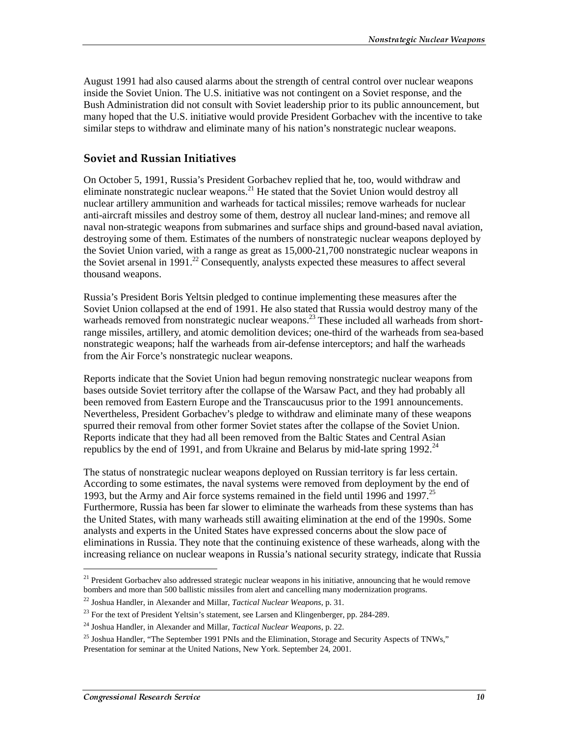August 1991 had also caused alarms about the strength of central control over nuclear weapons inside the Soviet Union. The U.S. initiative was not contingent on a Soviet response, and the Bush Administration did not consult with Soviet leadership prior to its public announcement, but many hoped that the U.S. initiative would provide President Gorbachev with the incentive to take similar steps to withdraw and eliminate many of his nation's nonstrategic nuclear weapons.

#### **Soviet and Russian Initiatives**

On October 5, 1991, Russia's President Gorbachev replied that he, too, would withdraw and eliminate nonstrategic nuclear weapons.<sup>21</sup> He stated that the Soviet Union would destroy all nuclear artillery ammunition and warheads for tactical missiles; remove warheads for nuclear anti-aircraft missiles and destroy some of them, destroy all nuclear land-mines; and remove all naval non-strategic weapons from submarines and surface ships and ground-based naval aviation, destroying some of them. Estimates of the numbers of nonstrategic nuclear weapons deployed by the Soviet Union varied, with a range as great as 15,000-21,700 nonstrategic nuclear weapons in the Soviet arsenal in 1991.<sup>22</sup> Consequently, analysts expected these measures to affect several thousand weapons.

Russia's President Boris Yeltsin pledged to continue implementing these measures after the Soviet Union collapsed at the end of 1991. He also stated that Russia would destroy many of the warheads removed from nonstrategic nuclear weapons.<sup>23</sup> These included all warheads from shortrange missiles, artillery, and atomic demolition devices; one-third of the warheads from sea-based nonstrategic weapons; half the warheads from air-defense interceptors; and half the warheads from the Air Force's nonstrategic nuclear weapons.

Reports indicate that the Soviet Union had begun removing nonstrategic nuclear weapons from bases outside Soviet territory after the collapse of the Warsaw Pact, and they had probably all been removed from Eastern Europe and the Transcaucusus prior to the 1991 announcements. Nevertheless, President Gorbachev's pledge to withdraw and eliminate many of these weapons spurred their removal from other former Soviet states after the collapse of the Soviet Union. Reports indicate that they had all been removed from the Baltic States and Central Asian republics by the end of 1991, and from Ukraine and Belarus by mid-late spring 1992.<sup>24</sup>

The status of nonstrategic nuclear weapons deployed on Russian territory is far less certain. According to some estimates, the naval systems were removed from deployment by the end of 1993, but the Army and Air force systems remained in the field until 1996 and 1997.<sup>25</sup> Furthermore, Russia has been far slower to eliminate the warheads from these systems than has the United States, with many warheads still awaiting elimination at the end of the 1990s. Some analysts and experts in the United States have expressed concerns about the slow pace of eliminations in Russia. They note that the continuing existence of these warheads, along with the increasing reliance on nuclear weapons in Russia's national security strategy, indicate that Russia

<sup>&</sup>lt;sup>21</sup> President Gorbachev also addressed strategic nuclear weapons in his initiative, announcing that he would remove bombers and more than 500 ballistic missiles from alert and cancelling many modernization programs.

<sup>22</sup> Joshua Handler, in Alexander and Millar, *Tactical Nuclear Weapons*, p. 31.

 $^{23}$  For the text of President Yeltsin's statement, see Larsen and Klingenberger, pp. 284-289.

<sup>24</sup> Joshua Handler, in Alexander and Millar, *Tactical Nuclear Weapons*, p. 22.

<sup>&</sup>lt;sup>25</sup> Joshua Handler, "The September 1991 PNIs and the Elimination, Storage and Security Aspects of TNWs," Presentation for seminar at the United Nations, New York. September 24, 2001.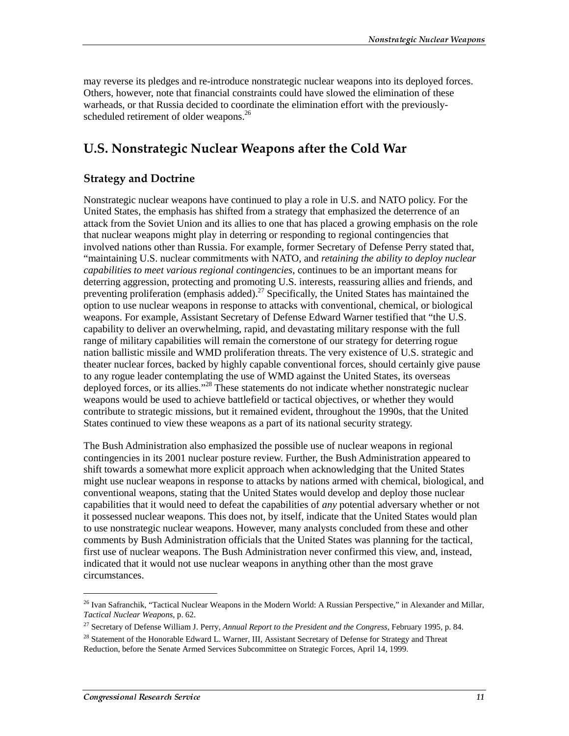may reverse its pledges and re-introduce nonstrategic nuclear weapons into its deployed forces. Others, however, note that financial constraints could have slowed the elimination of these warheads, or that Russia decided to coordinate the elimination effort with the previouslyscheduled retirement of older weapons.<sup>26</sup>

## U.S. Nonstrategic Nuclear Weapons after the Cold War

## **Strategy and Doctrine**

Nonstrategic nuclear weapons have continued to play a role in U.S. and NATO policy. For the United States, the emphasis has shifted from a strategy that emphasized the deterrence of an attack from the Soviet Union and its allies to one that has placed a growing emphasis on the role that nuclear weapons might play in deterring or responding to regional contingencies that involved nations other than Russia. For example, former Secretary of Defense Perry stated that, "maintaining U.S. nuclear commitments with NATO, and *retaining the ability to deploy nuclear capabilities to meet various regional contingencies*, continues to be an important means for deterring aggression, protecting and promoting U.S. interests, reassuring allies and friends, and preventing proliferation (emphasis added).<sup>27</sup> Specifically, the United States has maintained the option to use nuclear weapons in response to attacks with conventional, chemical, or biological weapons. For example, Assistant Secretary of Defense Edward Warner testified that "the U.S. capability to deliver an overwhelming, rapid, and devastating military response with the full range of military capabilities will remain the cornerstone of our strategy for deterring rogue nation ballistic missile and WMD proliferation threats. The very existence of U.S. strategic and theater nuclear forces, backed by highly capable conventional forces, should certainly give pause to any rogue leader contemplating the use of WMD against the United States, its overseas deployed forces, or its allies."<sup>28</sup> These statements do not indicate whether nonstrategic nuclear weapons would be used to achieve battlefield or tactical objectives, or whether they would contribute to strategic missions, but it remained evident, throughout the 1990s, that the United States continued to view these weapons as a part of its national security strategy.

The Bush Administration also emphasized the possible use of nuclear weapons in regional contingencies in its 2001 nuclear posture review. Further, the Bush Administration appeared to shift towards a somewhat more explicit approach when acknowledging that the United States might use nuclear weapons in response to attacks by nations armed with chemical, biological, and conventional weapons, stating that the United States would develop and deploy those nuclear capabilities that it would need to defeat the capabilities of *any* potential adversary whether or not it possessed nuclear weapons. This does not, by itself, indicate that the United States would plan to use nonstrategic nuclear weapons. However, many analysts concluded from these and other comments by Bush Administration officials that the United States was planning for the tactical, first use of nuclear weapons. The Bush Administration never confirmed this view, and, instead, indicated that it would not use nuclear weapons in anything other than the most grave circumstances.

<sup>&</sup>lt;sup>26</sup> Ivan Safranchik, "Tactical Nuclear Weapons in the Modern World: A Russian Perspective," in Alexander and Millar, *Tactical Nuclear Weapons*, p. 62.

<sup>27</sup> Secretary of Defense William J. Perry, *Annual Report to the President and the Congress*, February 1995, p. 84.

<sup>&</sup>lt;sup>28</sup> Statement of the Honorable Edward L. Warner, III, Assistant Secretary of Defense for Strategy and Threat Reduction, before the Senate Armed Services Subcommittee on Strategic Forces, April 14, 1999.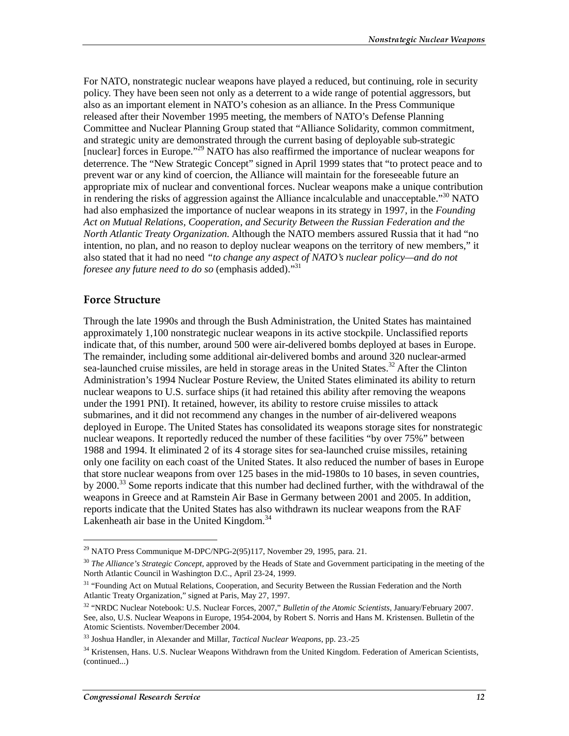For NATO, nonstrategic nuclear weapons have played a reduced, but continuing, role in security policy. They have been seen not only as a deterrent to a wide range of potential aggressors, but also as an important element in NATO's cohesion as an alliance. In the Press Communique released after their November 1995 meeting, the members of NATO's Defense Planning Committee and Nuclear Planning Group stated that "Alliance Solidarity, common commitment, and strategic unity are demonstrated through the current basing of deployable sub-strategic [nuclear] forces in Europe."<sup>29</sup> NATO has also reaffirmed the importance of nuclear weapons for deterrence. The "New Strategic Concept" signed in April 1999 states that "to protect peace and to prevent war or any kind of coercion, the Alliance will maintain for the foreseeable future an appropriate mix of nuclear and conventional forces. Nuclear weapons make a unique contribution in rendering the risks of aggression against the Alliance incalculable and unacceptable."<sup>30</sup> NATO had also emphasized the importance of nuclear weapons in its strategy in 1997, in the *Founding Act on Mutual Relations, Cooperation, and Security Between the Russian Federation and the North Atlantic Treaty Organization.* Although the NATO members assured Russia that it had "no intention, no plan, and no reason to deploy nuclear weapons on the territory of new members," it also stated that it had no need *"to change any aspect of NATO's nuclear policy—and do not foresee any future need to do so* (emphasis added)."31

#### **Force Structure**

j

Through the late 1990s and through the Bush Administration, the United States has maintained approximately 1,100 nonstrategic nuclear weapons in its active stockpile. Unclassified reports indicate that, of this number, around 500 were air-delivered bombs deployed at bases in Europe. The remainder, including some additional air-delivered bombs and around 320 nuclear-armed sea-launched cruise missiles, are held in storage areas in the United States.<sup>32</sup> After the Clinton Administration's 1994 Nuclear Posture Review, the United States eliminated its ability to return nuclear weapons to U.S. surface ships (it had retained this ability after removing the weapons under the 1991 PNI). It retained, however, its ability to restore cruise missiles to attack submarines, and it did not recommend any changes in the number of air-delivered weapons deployed in Europe. The United States has consolidated its weapons storage sites for nonstrategic nuclear weapons. It reportedly reduced the number of these facilities "by over 75%" between 1988 and 1994. It eliminated 2 of its 4 storage sites for sea-launched cruise missiles, retaining only one facility on each coast of the United States. It also reduced the number of bases in Europe that store nuclear weapons from over 125 bases in the mid-1980s to 10 bases, in seven countries, by 2000.<sup>33</sup> Some reports indicate that this number had declined further, with the withdrawal of the weapons in Greece and at Ramstein Air Base in Germany between 2001 and 2005. In addition, reports indicate that the United States has also withdrawn its nuclear weapons from the RAF Lakenheath air base in the United Kingdom. $34$ 

 $^{29}$  NATO Press Communique M-DPC/NPG-2(95)117, November 29, 1995, para. 21.

<sup>&</sup>lt;sup>30</sup> *The Alliance's Strategic Concept*, approved by the Heads of State and Government participating in the meeting of the North Atlantic Council in Washington D.C., April 23-24, 1999.

<sup>&</sup>lt;sup>31</sup> "Founding Act on Mutual Relations, Cooperation, and Security Between the Russian Federation and the North Atlantic Treaty Organization," signed at Paris, May 27, 1997.

<sup>32 &</sup>quot;NRDC Nuclear Notebook: U.S. Nuclear Forces, 2007," *Bulletin of the Atomic Scientists*, January/February 2007. See, also, U.S. Nuclear Weapons in Europe, 1954-2004, by Robert S. Norris and Hans M. Kristensen. Bulletin of the Atomic Scientists. November/December 2004.

<sup>33</sup> Joshua Handler, in Alexander and Millar, *Tactical Nuclear Weapons*, pp. 23.-25

<sup>&</sup>lt;sup>34</sup> Kristensen, Hans. U.S. Nuclear Weapons Withdrawn from the United Kingdom. Federation of American Scientists, (continued...)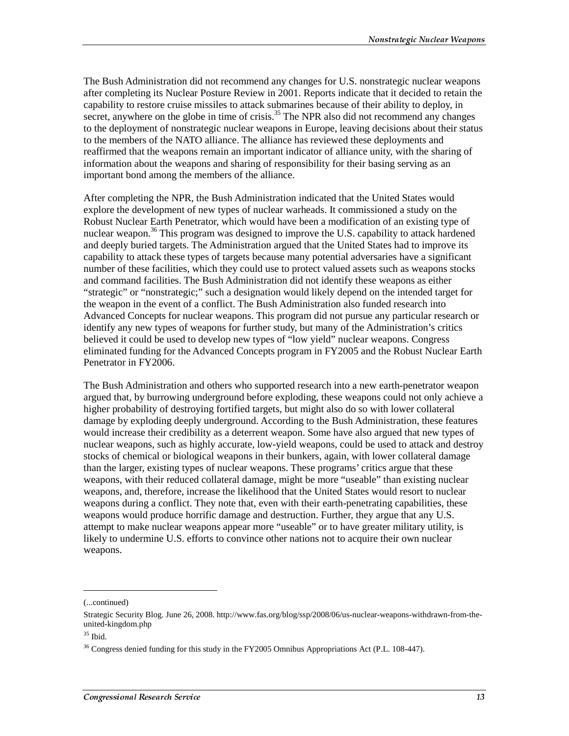The Bush Administration did not recommend any changes for U.S. nonstrategic nuclear weapons after completing its Nuclear Posture Review in 2001. Reports indicate that it decided to retain the capability to restore cruise missiles to attack submarines because of their ability to deploy, in secret, anywhere on the globe in time of crisis.<sup>35</sup> The NPR also did not recommend any changes to the deployment of nonstrategic nuclear weapons in Europe, leaving decisions about their status to the members of the NATO alliance. The alliance has reviewed these deployments and reaffirmed that the weapons remain an important indicator of alliance unity, with the sharing of information about the weapons and sharing of responsibility for their basing serving as an important bond among the members of the alliance.

After completing the NPR, the Bush Administration indicated that the United States would explore the development of new types of nuclear warheads. It commissioned a study on the Robust Nuclear Earth Penetrator, which would have been a modification of an existing type of nuclear weapon.<sup>36</sup> This program was designed to improve the U.S. capability to attack hardened and deeply buried targets. The Administration argued that the United States had to improve its capability to attack these types of targets because many potential adversaries have a significant number of these facilities, which they could use to protect valued assets such as weapons stocks and command facilities. The Bush Administration did not identify these weapons as either "strategic" or "nonstrategic;" such a designation would likely depend on the intended target for the weapon in the event of a conflict. The Bush Administration also funded research into Advanced Concepts for nuclear weapons. This program did not pursue any particular research or identify any new types of weapons for further study, but many of the Administration's critics believed it could be used to develop new types of "low yield" nuclear weapons. Congress eliminated funding for the Advanced Concepts program in FY2005 and the Robust Nuclear Earth Penetrator in FY2006.

The Bush Administration and others who supported research into a new earth-penetrator weapon argued that, by burrowing underground before exploding, these weapons could not only achieve a higher probability of destroying fortified targets, but might also do so with lower collateral damage by exploding deeply underground. According to the Bush Administration, these features would increase their credibility as a deterrent weapon. Some have also argued that new types of nuclear weapons, such as highly accurate, low-yield weapons, could be used to attack and destroy stocks of chemical or biological weapons in their bunkers, again, with lower collateral damage than the larger, existing types of nuclear weapons. These programs' critics argue that these weapons, with their reduced collateral damage, might be more "useable" than existing nuclear weapons, and, therefore, increase the likelihood that the United States would resort to nuclear weapons during a conflict. They note that, even with their earth-penetrating capabilities, these weapons would produce horrific damage and destruction. Further, they argue that any U.S. attempt to make nuclear weapons appear more "useable" or to have greater military utility, is likely to undermine U.S. efforts to convince other nations not to acquire their own nuclear weapons.

<sup>(...</sup>continued)

Strategic Security Blog. June 26, 2008. http://www.fas.org/blog/ssp/2008/06/us-nuclear-weapons-withdrawn-from-theunited-kingdom.php

 $35$  Ibid.

 $36$  Congress denied funding for this study in the FY2005 Omnibus Appropriations Act (P.L. 108-447).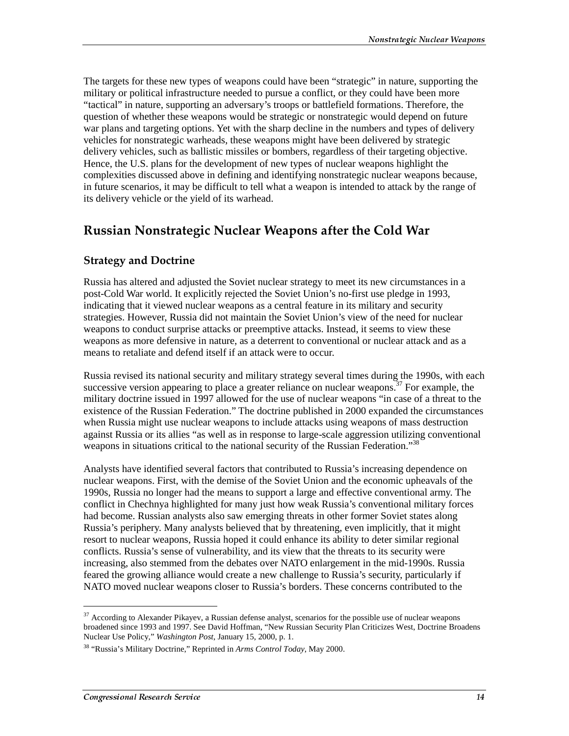The targets for these new types of weapons could have been "strategic" in nature, supporting the military or political infrastructure needed to pursue a conflict, or they could have been more "tactical" in nature, supporting an adversary's troops or battlefield formations. Therefore, the question of whether these weapons would be strategic or nonstrategic would depend on future war plans and targeting options. Yet with the sharp decline in the numbers and types of delivery vehicles for nonstrategic warheads, these weapons might have been delivered by strategic delivery vehicles, such as ballistic missiles or bombers, regardless of their targeting objective. Hence, the U.S. plans for the development of new types of nuclear weapons highlight the complexities discussed above in defining and identifying nonstrategic nuclear weapons because, in future scenarios, it may be difficult to tell what a weapon is intended to attack by the range of its delivery vehicle or the yield of its warhead.

## Russian Nonstrategic Nuclear Weapons after the Cold War

## **Strategy and Doctrine**

Russia has altered and adjusted the Soviet nuclear strategy to meet its new circumstances in a post-Cold War world. It explicitly rejected the Soviet Union's no-first use pledge in 1993, indicating that it viewed nuclear weapons as a central feature in its military and security strategies. However, Russia did not maintain the Soviet Union's view of the need for nuclear weapons to conduct surprise attacks or preemptive attacks. Instead, it seems to view these weapons as more defensive in nature, as a deterrent to conventional or nuclear attack and as a means to retaliate and defend itself if an attack were to occur.

Russia revised its national security and military strategy several times during the 1990s, with each successive version appearing to place a greater reliance on nuclear weapons.<sup>37</sup> For example, the military doctrine issued in 1997 allowed for the use of nuclear weapons "in case of a threat to the existence of the Russian Federation." The doctrine published in 2000 expanded the circumstances when Russia might use nuclear weapons to include attacks using weapons of mass destruction against Russia or its allies "as well as in response to large-scale aggression utilizing conventional weapons in situations critical to the national security of the Russian Federation."<sup>38</sup>

Analysts have identified several factors that contributed to Russia's increasing dependence on nuclear weapons. First, with the demise of the Soviet Union and the economic upheavals of the 1990s, Russia no longer had the means to support a large and effective conventional army. The conflict in Chechnya highlighted for many just how weak Russia's conventional military forces had become. Russian analysts also saw emerging threats in other former Soviet states along Russia's periphery. Many analysts believed that by threatening, even implicitly, that it might resort to nuclear weapons, Russia hoped it could enhance its ability to deter similar regional conflicts. Russia's sense of vulnerability, and its view that the threats to its security were increasing, also stemmed from the debates over NATO enlargement in the mid-1990s. Russia feared the growing alliance would create a new challenge to Russia's security, particularly if NATO moved nuclear weapons closer to Russia's borders. These concerns contributed to the

<sup>&</sup>lt;sup>37</sup> According to Alexander Pikayev, a Russian defense analyst, scenarios for the possible use of nuclear weapons broadened since 1993 and 1997. See David Hoffman, "New Russian Security Plan Criticizes West, Doctrine Broadens Nuclear Use Policy," *Washington Post*, January 15, 2000, p. 1.

<sup>38 &</sup>quot;Russia's Military Doctrine," Reprinted in *Arms Control Today*, May 2000.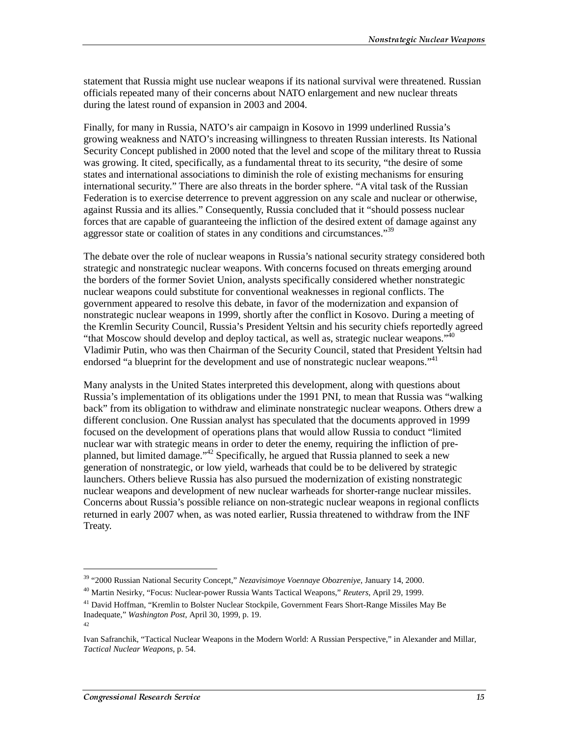statement that Russia might use nuclear weapons if its national survival were threatened. Russian officials repeated many of their concerns about NATO enlargement and new nuclear threats during the latest round of expansion in 2003 and 2004.

Finally, for many in Russia, NATO's air campaign in Kosovo in 1999 underlined Russia's growing weakness and NATO's increasing willingness to threaten Russian interests. Its National Security Concept published in 2000 noted that the level and scope of the military threat to Russia was growing. It cited, specifically, as a fundamental threat to its security, "the desire of some states and international associations to diminish the role of existing mechanisms for ensuring international security." There are also threats in the border sphere. "A vital task of the Russian Federation is to exercise deterrence to prevent aggression on any scale and nuclear or otherwise, against Russia and its allies." Consequently, Russia concluded that it "should possess nuclear forces that are capable of guaranteeing the infliction of the desired extent of damage against any aggressor state or coalition of states in any conditions and circumstances."<sup>39</sup>

The debate over the role of nuclear weapons in Russia's national security strategy considered both strategic and nonstrategic nuclear weapons. With concerns focused on threats emerging around the borders of the former Soviet Union, analysts specifically considered whether nonstrategic nuclear weapons could substitute for conventional weaknesses in regional conflicts. The government appeared to resolve this debate, in favor of the modernization and expansion of nonstrategic nuclear weapons in 1999, shortly after the conflict in Kosovo. During a meeting of the Kremlin Security Council, Russia's President Yeltsin and his security chiefs reportedly agreed "that Moscow should develop and deploy tactical, as well as, strategic nuclear weapons."<sup>40</sup> Vladimir Putin, who was then Chairman of the Security Council, stated that President Yeltsin had endorsed "a blueprint for the development and use of nonstrategic nuclear weapons."<sup>41</sup>

Many analysts in the United States interpreted this development, along with questions about Russia's implementation of its obligations under the 1991 PNI, to mean that Russia was "walking back" from its obligation to withdraw and eliminate nonstrategic nuclear weapons. Others drew a different conclusion. One Russian analyst has speculated that the documents approved in 1999 focused on the development of operations plans that would allow Russia to conduct "limited nuclear war with strategic means in order to deter the enemy, requiring the infliction of preplanned, but limited damage."<sup>42</sup> Specifically, he argued that Russia planned to seek a new generation of nonstrategic, or low yield, warheads that could be to be delivered by strategic launchers. Others believe Russia has also pursued the modernization of existing nonstrategic nuclear weapons and development of new nuclear warheads for shorter-range nuclear missiles. Concerns about Russia's possible reliance on non-strategic nuclear weapons in regional conflicts returned in early 2007 when, as was noted earlier, Russia threatened to withdraw from the INF Treaty.

<sup>39 &</sup>quot;2000 Russian National Security Concept," *Nezavisimoye Voennaye Obozreniye*, January 14, 2000.

<sup>40</sup> Martin Nesirky, "Focus: Nuclear-power Russia Wants Tactical Weapons," *Reuters*, April 29, 1999.

<sup>&</sup>lt;sup>41</sup> David Hoffman, "Kremlin to Bolster Nuclear Stockpile, Government Fears Short-Range Missiles May Be Inadequate," *Washington Post*, April 30, 1999, p. 19.

<sup>42</sup>

Ivan Safranchik, "Tactical Nuclear Weapons in the Modern World: A Russian Perspective," in Alexander and Millar, *Tactical Nuclear Weapons*, p. 54.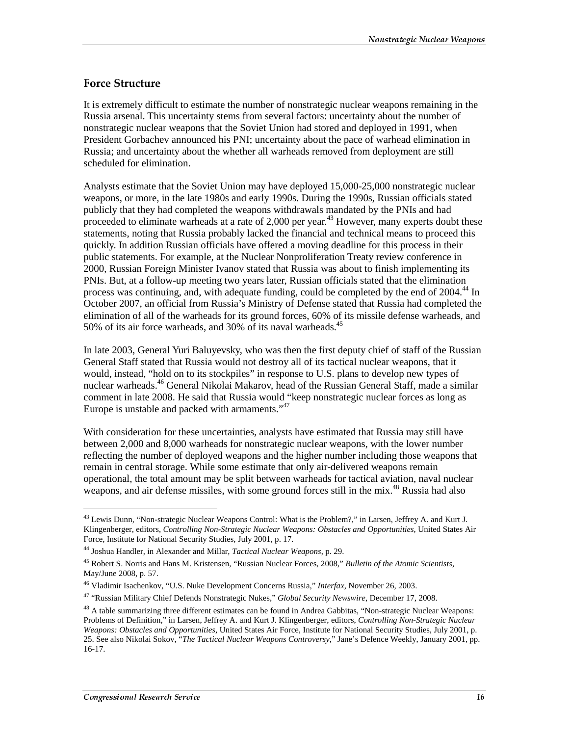#### **Force Structure**

It is extremely difficult to estimate the number of nonstrategic nuclear weapons remaining in the Russia arsenal. This uncertainty stems from several factors: uncertainty about the number of nonstrategic nuclear weapons that the Soviet Union had stored and deployed in 1991, when President Gorbachev announced his PNI; uncertainty about the pace of warhead elimination in Russia; and uncertainty about the whether all warheads removed from deployment are still scheduled for elimination.

Analysts estimate that the Soviet Union may have deployed 15,000-25,000 nonstrategic nuclear weapons, or more, in the late 1980s and early 1990s. During the 1990s, Russian officials stated publicly that they had completed the weapons withdrawals mandated by the PNIs and had proceeded to eliminate warheads at a rate of 2,000 per year.<sup>43</sup> However, many experts doubt these statements, noting that Russia probably lacked the financial and technical means to proceed this quickly. In addition Russian officials have offered a moving deadline for this process in their public statements. For example, at the Nuclear Nonproliferation Treaty review conference in 2000, Russian Foreign Minister Ivanov stated that Russia was about to finish implementing its PNIs. But, at a follow-up meeting two years later, Russian officials stated that the elimination process was continuing, and, with adequate funding, could be completed by the end of  $2004<sup>44</sup>$  In October 2007, an official from Russia's Ministry of Defense stated that Russia had completed the elimination of all of the warheads for its ground forces, 60% of its missile defense warheads, and 50% of its air force warheads, and 30% of its naval warheads. $45$ 

In late 2003, General Yuri Baluyevsky, who was then the first deputy chief of staff of the Russian General Staff stated that Russia would not destroy all of its tactical nuclear weapons, that it would, instead, "hold on to its stockpiles" in response to U.S. plans to develop new types of nuclear warheads.46 General Nikolai Makarov, head of the Russian General Staff, made a similar comment in late 2008. He said that Russia would "keep nonstrategic nuclear forces as long as Europe is unstable and packed with armaments."<sup>47</sup>

With consideration for these uncertainties, analysts have estimated that Russia may still have between 2,000 and 8,000 warheads for nonstrategic nuclear weapons, with the lower number reflecting the number of deployed weapons and the higher number including those weapons that remain in central storage. While some estimate that only air-delivered weapons remain operational, the total amount may be split between warheads for tactical aviation, naval nuclear weapons, and air defense missiles, with some ground forces still in the mix.<sup>48</sup> Russia had also

<sup>&</sup>lt;sup>43</sup> Lewis Dunn, "Non-strategic Nuclear Weapons Control: What is the Problem?," in Larsen, Jeffrey A. and Kurt J. Klingenberger, editors, *Controlling Non-Strategic Nuclear Weapons: Obstacles and Opportunities*, United States Air Force, Institute for National Security Studies, July 2001, p. 17.

<sup>44</sup> Joshua Handler, in Alexander and Millar, *Tactical Nuclear Weapons*, p. 29.

<sup>45</sup> Robert S. Norris and Hans M. Kristensen, "Russian Nuclear Forces, 2008," *Bulletin of the Atomic Scientists*, May/June 2008, p. 57.

<sup>46</sup> Vladimir Isachenkov, "U.S. Nuke Development Concerns Russia," *Interfax*, November 26, 2003.

<sup>47 &</sup>quot;Russian Military Chief Defends Nonstrategic Nukes," *Global Security Newswire*, December 17, 2008.

<sup>&</sup>lt;sup>48</sup> A table summarizing three different estimates can be found in Andrea Gabbitas, "Non-strategic Nuclear Weapons: Problems of Definition," in Larsen, Jeffrey A. and Kurt J. Klingenberger, editors, *Controlling Non-Strategic Nuclear Weapons: Obstacles and Opportunities*, United States Air Force, Institute for National Security Studies, July 2001, p. 25. See also Nikolai Sokov, "*The Tactical Nuclear Weapons Controversy*," Jane's Defence Weekly, January 2001, pp. 16-17.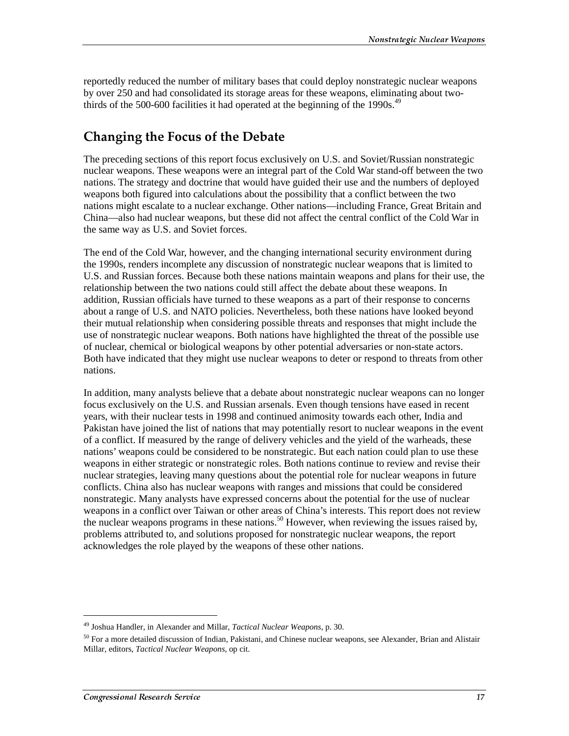reportedly reduced the number of military bases that could deploy nonstrategic nuclear weapons by over 250 and had consolidated its storage areas for these weapons, eliminating about twothirds of the 500-600 facilities it had operated at the beginning of the 1990s.<sup>49</sup>

## Changing the Focus of the Debate

The preceding sections of this report focus exclusively on U.S. and Soviet/Russian nonstrategic nuclear weapons. These weapons were an integral part of the Cold War stand-off between the two nations. The strategy and doctrine that would have guided their use and the numbers of deployed weapons both figured into calculations about the possibility that a conflict between the two nations might escalate to a nuclear exchange. Other nations—including France, Great Britain and China—also had nuclear weapons, but these did not affect the central conflict of the Cold War in the same way as U.S. and Soviet forces.

The end of the Cold War, however, and the changing international security environment during the 1990s, renders incomplete any discussion of nonstrategic nuclear weapons that is limited to U.S. and Russian forces. Because both these nations maintain weapons and plans for their use, the relationship between the two nations could still affect the debate about these weapons. In addition, Russian officials have turned to these weapons as a part of their response to concerns about a range of U.S. and NATO policies. Nevertheless, both these nations have looked beyond their mutual relationship when considering possible threats and responses that might include the use of nonstrategic nuclear weapons. Both nations have highlighted the threat of the possible use of nuclear, chemical or biological weapons by other potential adversaries or non-state actors. Both have indicated that they might use nuclear weapons to deter or respond to threats from other nations.

In addition, many analysts believe that a debate about nonstrategic nuclear weapons can no longer focus exclusively on the U.S. and Russian arsenals. Even though tensions have eased in recent years, with their nuclear tests in 1998 and continued animosity towards each other, India and Pakistan have joined the list of nations that may potentially resort to nuclear weapons in the event of a conflict. If measured by the range of delivery vehicles and the yield of the warheads, these nations' weapons could be considered to be nonstrategic. But each nation could plan to use these weapons in either strategic or nonstrategic roles. Both nations continue to review and revise their nuclear strategies, leaving many questions about the potential role for nuclear weapons in future conflicts. China also has nuclear weapons with ranges and missions that could be considered nonstrategic. Many analysts have expressed concerns about the potential for the use of nuclear weapons in a conflict over Taiwan or other areas of China's interests. This report does not review the nuclear weapons programs in these nations.<sup>50</sup> However, when reviewing the issues raised by, problems attributed to, and solutions proposed for nonstrategic nuclear weapons, the report acknowledges the role played by the weapons of these other nations.

<sup>49</sup> Joshua Handler, in Alexander and Millar, *Tactical Nuclear Weapons*, p. 30.

<sup>&</sup>lt;sup>50</sup> For a more detailed discussion of Indian, Pakistani, and Chinese nuclear weapons, see Alexander, Brian and Alistair Millar, editors, *Tactical Nuclear Weapons*, op cit.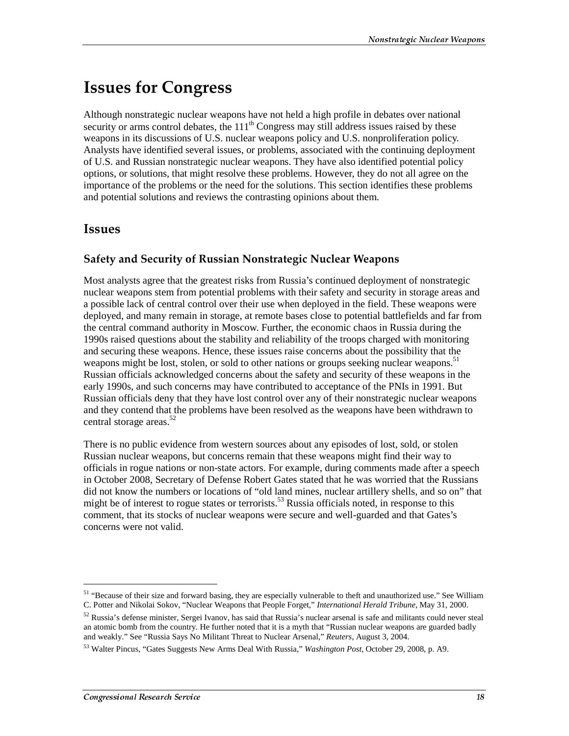## **Issues for Congress**

Although nonstrategic nuclear weapons have not held a high profile in debates over national security or arms control debates, the  $111<sup>th</sup>$  Congress may still address issues raised by these weapons in its discussions of U.S. nuclear weapons policy and U.S. nonproliferation policy. Analysts have identified several issues, or problems, associated with the continuing deployment of U.S. and Russian nonstrategic nuclear weapons. They have also identified potential policy options, or solutions, that might resolve these problems. However, they do not all agree on the importance of the problems or the need for the solutions. This section identifies these problems and potential solutions and reviews the contrasting opinions about them.

## **Issues**

### Safety and Security of Russian Nonstrategic Nuclear Weapons

Most analysts agree that the greatest risks from Russia's continued deployment of nonstrategic nuclear weapons stem from potential problems with their safety and security in storage areas and a possible lack of central control over their use when deployed in the field. These weapons were deployed, and many remain in storage, at remote bases close to potential battlefields and far from the central command authority in Moscow. Further, the economic chaos in Russia during the 1990s raised questions about the stability and reliability of the troops charged with monitoring and securing these weapons. Hence, these issues raise concerns about the possibility that the weapons might be lost, stolen, or sold to other nations or groups seeking nuclear weapons.<sup>51</sup> Russian officials acknowledged concerns about the safety and security of these weapons in the early 1990s, and such concerns may have contributed to acceptance of the PNIs in 1991. But Russian officials deny that they have lost control over any of their nonstrategic nuclear weapons and they contend that the problems have been resolved as the weapons have been withdrawn to central storage areas. $52$ 

There is no public evidence from western sources about any episodes of lost, sold, or stolen Russian nuclear weapons, but concerns remain that these weapons might find their way to officials in rogue nations or non-state actors. For example, during comments made after a speech in October 2008, Secretary of Defense Robert Gates stated that he was worried that the Russians did not know the numbers or locations of "old land mines, nuclear artillery shells, and so on" that might be of interest to rogue states or terrorists.<sup>53</sup> Russia officials noted, in response to this comment, that its stocks of nuclear weapons were secure and well-guarded and that Gates's concerns were not valid.

 $\overline{a}$ 

<sup>51 &</sup>quot;Because of their size and forward basing, they are especially vulnerable to theft and unauthorized use." See William C. Potter and Nikolai Sokov, "Nuclear Weapons that People Forget," *International Herald Tribune*, May 31, 2000.

 $52$  Russia's defense minister, Sergei Ivanov, has said that Russia's nuclear arsenal is safe and militants could never steal an atomic bomb from the country. He further noted that it is a myth that "Russian nuclear weapons are guarded badly and weakly." See "Russia Says No Militant Threat to Nuclear Arsenal," *Reuters*, August 3, 2004.

<sup>53</sup> Walter Pincus, "Gates Suggests New Arms Deal With Russia," *Washington Post*, October 29, 2008, p. A9.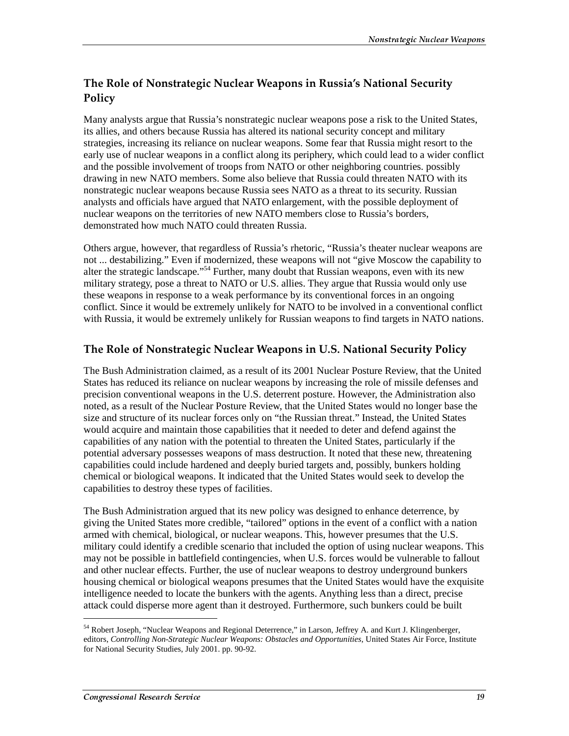## The Role of Nonstrategic Nuclear Weapons in Russia's National Security Policy

Many analysts argue that Russia's nonstrategic nuclear weapons pose a risk to the United States, its allies, and others because Russia has altered its national security concept and military strategies, increasing its reliance on nuclear weapons. Some fear that Russia might resort to the early use of nuclear weapons in a conflict along its periphery, which could lead to a wider conflict and the possible involvement of troops from NATO or other neighboring countries. possibly drawing in new NATO members. Some also believe that Russia could threaten NATO with its nonstrategic nuclear weapons because Russia sees NATO as a threat to its security. Russian analysts and officials have argued that NATO enlargement, with the possible deployment of nuclear weapons on the territories of new NATO members close to Russia's borders, demonstrated how much NATO could threaten Russia.

Others argue, however, that regardless of Russia's rhetoric, "Russia's theater nuclear weapons are not ... destabilizing." Even if modernized, these weapons will not "give Moscow the capability to alter the strategic landscape."54 Further, many doubt that Russian weapons, even with its new military strategy, pose a threat to NATO or U.S. allies. They argue that Russia would only use these weapons in response to a weak performance by its conventional forces in an ongoing conflict. Since it would be extremely unlikely for NATO to be involved in a conventional conflict with Russia, it would be extremely unlikely for Russian weapons to find targets in NATO nations.

## The Role of Nonstrategic Nuclear Weapons in U.S. National Security Policy

The Bush Administration claimed, as a result of its 2001 Nuclear Posture Review, that the United States has reduced its reliance on nuclear weapons by increasing the role of missile defenses and precision conventional weapons in the U.S. deterrent posture. However, the Administration also noted, as a result of the Nuclear Posture Review, that the United States would no longer base the size and structure of its nuclear forces only on "the Russian threat." Instead, the United States would acquire and maintain those capabilities that it needed to deter and defend against the capabilities of any nation with the potential to threaten the United States, particularly if the potential adversary possesses weapons of mass destruction. It noted that these new, threatening capabilities could include hardened and deeply buried targets and, possibly, bunkers holding chemical or biological weapons. It indicated that the United States would seek to develop the capabilities to destroy these types of facilities.

The Bush Administration argued that its new policy was designed to enhance deterrence, by giving the United States more credible, "tailored" options in the event of a conflict with a nation armed with chemical, biological, or nuclear weapons. This, however presumes that the U.S. military could identify a credible scenario that included the option of using nuclear weapons. This may not be possible in battlefield contingencies, when U.S. forces would be vulnerable to fallout and other nuclear effects. Further, the use of nuclear weapons to destroy underground bunkers housing chemical or biological weapons presumes that the United States would have the exquisite intelligence needed to locate the bunkers with the agents. Anything less than a direct, precise attack could disperse more agent than it destroyed. Furthermore, such bunkers could be built

<sup>54</sup> Robert Joseph, "Nuclear Weapons and Regional Deterrence," in Larson, Jeffrey A. and Kurt J. Klingenberger, editors, *Controlling Non-Strategic Nuclear Weapons: Obstacles and Opportunities*, United States Air Force, Institute for National Security Studies, July 2001. pp. 90-92.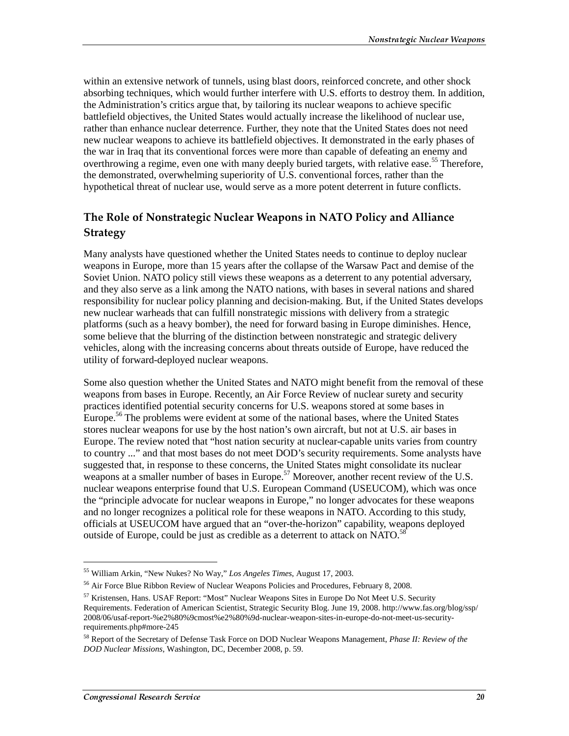within an extensive network of tunnels, using blast doors, reinforced concrete, and other shock absorbing techniques, which would further interfere with U.S. efforts to destroy them. In addition, the Administration's critics argue that, by tailoring its nuclear weapons to achieve specific battlefield objectives, the United States would actually increase the likelihood of nuclear use, rather than enhance nuclear deterrence. Further, they note that the United States does not need new nuclear weapons to achieve its battlefield objectives. It demonstrated in the early phases of the war in Iraq that its conventional forces were more than capable of defeating an enemy and overthrowing a regime, even one with many deeply buried targets, with relative ease.<sup>55</sup> Therefore, the demonstrated, overwhelming superiority of U.S. conventional forces, rather than the hypothetical threat of nuclear use, would serve as a more potent deterrent in future conflicts.

## The Role of Nonstrategic Nuclear Weapons in NATO Policy and Alliance **Strategy**

Many analysts have questioned whether the United States needs to continue to deploy nuclear weapons in Europe, more than 15 years after the collapse of the Warsaw Pact and demise of the Soviet Union. NATO policy still views these weapons as a deterrent to any potential adversary, and they also serve as a link among the NATO nations, with bases in several nations and shared responsibility for nuclear policy planning and decision-making. But, if the United States develops new nuclear warheads that can fulfill nonstrategic missions with delivery from a strategic platforms (such as a heavy bomber), the need for forward basing in Europe diminishes. Hence, some believe that the blurring of the distinction between nonstrategic and strategic delivery vehicles, along with the increasing concerns about threats outside of Europe, have reduced the utility of forward-deployed nuclear weapons.

Some also question whether the United States and NATO might benefit from the removal of these weapons from bases in Europe. Recently, an Air Force Review of nuclear surety and security practices identified potential security concerns for U.S. weapons stored at some bases in Europe.<sup>56</sup> The problems were evident at some of the national bases, where the United States stores nuclear weapons for use by the host nation's own aircraft, but not at U.S. air bases in Europe. The review noted that "host nation security at nuclear-capable units varies from country to country ..." and that most bases do not meet DOD's security requirements. Some analysts have suggested that, in response to these concerns, the United States might consolidate its nuclear weapons at a smaller number of bases in Europe.<sup>57</sup> Moreover, another recent review of the U.S. nuclear weapons enterprise found that U.S. European Command (USEUCOM), which was once the "principle advocate for nuclear weapons in Europe," no longer advocates for these weapons and no longer recognizes a political role for these weapons in NATO. According to this study, officials at USEUCOM have argued that an "over-the-horizon" capability, weapons deployed outside of Europe, could be just as credible as a deterrent to attack on NATO.<sup>58</sup>

<sup>55</sup> William Arkin, "New Nukes? No Way," *Los Angeles Times*, August 17, 2003.

<sup>&</sup>lt;sup>56</sup> Air Force Blue Ribbon Review of Nuclear Weapons Policies and Procedures, February 8, 2008.

<sup>57</sup> Kristensen, Hans. USAF Report: "Most" Nuclear Weapons Sites in Europe Do Not Meet U.S. Security Requirements. Federation of American Scientist, Strategic Security Blog. June 19, 2008. http://www.fas.org/blog/ssp/ 2008/06/usaf-report-%e2%80%9cmost%e2%80%9d-nuclear-weapon-sites-in-europe-do-not-meet-us-securityrequirements.php#more-245

<sup>58</sup> Report of the Secretary of Defense Task Force on DOD Nuclear Weapons Management, *Phase II: Review of the DOD Nuclear Missions*, Washington, DC, December 2008, p. 59.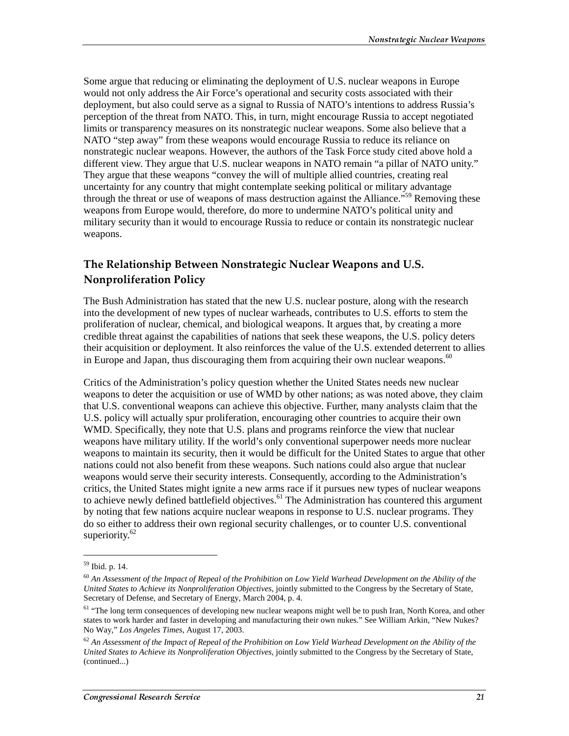Some argue that reducing or eliminating the deployment of U.S. nuclear weapons in Europe would not only address the Air Force's operational and security costs associated with their deployment, but also could serve as a signal to Russia of NATO's intentions to address Russia's perception of the threat from NATO. This, in turn, might encourage Russia to accept negotiated limits or transparency measures on its nonstrategic nuclear weapons. Some also believe that a NATO "step away" from these weapons would encourage Russia to reduce its reliance on nonstrategic nuclear weapons. However, the authors of the Task Force study cited above hold a different view. They argue that U.S. nuclear weapons in NATO remain "a pillar of NATO unity." They argue that these weapons "convey the will of multiple allied countries, creating real uncertainty for any country that might contemplate seeking political or military advantage through the threat or use of weapons of mass destruction against the Alliance."<sup>59</sup> Removing these weapons from Europe would, therefore, do more to undermine NATO's political unity and military security than it would to encourage Russia to reduce or contain its nonstrategic nuclear weapons.

### The Relationship Between Nonstrategic Nuclear Weapons and U.S. **Nonproliferation Policy**

The Bush Administration has stated that the new U.S. nuclear posture, along with the research into the development of new types of nuclear warheads, contributes to U.S. efforts to stem the proliferation of nuclear, chemical, and biological weapons. It argues that, by creating a more credible threat against the capabilities of nations that seek these weapons, the U.S. policy deters their acquisition or deployment. It also reinforces the value of the U.S. extended deterrent to allies in Europe and Japan, thus discouraging them from acquiring their own nuclear weapons.<sup>60</sup>

Critics of the Administration's policy question whether the United States needs new nuclear weapons to deter the acquisition or use of WMD by other nations; as was noted above, they claim that U.S. conventional weapons can achieve this objective. Further, many analysts claim that the U.S. policy will actually spur proliferation, encouraging other countries to acquire their own WMD. Specifically, they note that U.S. plans and programs reinforce the view that nuclear weapons have military utility. If the world's only conventional superpower needs more nuclear weapons to maintain its security, then it would be difficult for the United States to argue that other nations could not also benefit from these weapons. Such nations could also argue that nuclear weapons would serve their security interests. Consequently, according to the Administration's critics, the United States might ignite a new arms race if it pursues new types of nuclear weapons to achieve newly defined battlefield objectives.<sup>61</sup> The Administration has countered this argument by noting that few nations acquire nuclear weapons in response to U.S. nuclear programs. They do so either to address their own regional security challenges, or to counter U.S. conventional superiority. $62$ 

 $\overline{a}$ 

<sup>59</sup> Ibid. p. 14.

<sup>60</sup> *An Assessment of the Impact of Repeal of the Prohibition on Low Yield Warhead Development on the Ability of the United States to Achieve its Nonproliferation Objectives*, jointly submitted to the Congress by the Secretary of State, Secretary of Defense, and Secretary of Energy, March 2004, p. 4.

<sup>&</sup>lt;sup>61</sup> "The long term consequences of developing new nuclear weapons might well be to push Iran, North Korea, and other states to work harder and faster in developing and manufacturing their own nukes." See William Arkin, "New Nukes? No Way," *Los Angeles Times*, August 17, 2003.

 $62$  An Assessment of the Impact of Repeal of the Prohibition on Low Yield Warhead Development on the Ability of the *United States to Achieve its Nonproliferation Objectives*, jointly submitted to the Congress by the Secretary of State, (continued...)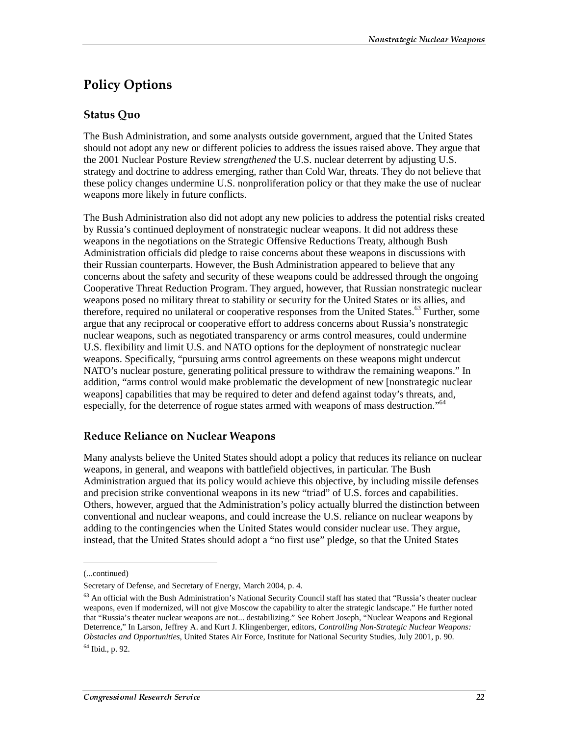## Policy Options

### **Status Ouo**

The Bush Administration, and some analysts outside government, argued that the United States should not adopt any new or different policies to address the issues raised above. They argue that the 2001 Nuclear Posture Review *strengthened* the U.S. nuclear deterrent by adjusting U.S. strategy and doctrine to address emerging, rather than Cold War, threats. They do not believe that these policy changes undermine U.S. nonproliferation policy or that they make the use of nuclear weapons more likely in future conflicts.

The Bush Administration also did not adopt any new policies to address the potential risks created by Russia's continued deployment of nonstrategic nuclear weapons. It did not address these weapons in the negotiations on the Strategic Offensive Reductions Treaty, although Bush Administration officials did pledge to raise concerns about these weapons in discussions with their Russian counterparts. However, the Bush Administration appeared to believe that any concerns about the safety and security of these weapons could be addressed through the ongoing Cooperative Threat Reduction Program. They argued, however, that Russian nonstrategic nuclear weapons posed no military threat to stability or security for the United States or its allies, and therefore, required no unilateral or cooperative responses from the United States.<sup>63</sup> Further, some argue that any reciprocal or cooperative effort to address concerns about Russia's nonstrategic nuclear weapons, such as negotiated transparency or arms control measures, could undermine U.S. flexibility and limit U.S. and NATO options for the deployment of nonstrategic nuclear weapons. Specifically, "pursuing arms control agreements on these weapons might undercut NATO's nuclear posture, generating political pressure to withdraw the remaining weapons." In addition, "arms control would make problematic the development of new [nonstrategic nuclear weapons] capabilities that may be required to deter and defend against today's threats, and, especially, for the deterrence of rogue states armed with weapons of mass destruction."<sup>64</sup>

## **Reduce Reliance on Nuclear Weapons**

Many analysts believe the United States should adopt a policy that reduces its reliance on nuclear weapons, in general, and weapons with battlefield objectives, in particular. The Bush Administration argued that its policy would achieve this objective, by including missile defenses and precision strike conventional weapons in its new "triad" of U.S. forces and capabilities. Others, however, argued that the Administration's policy actually blurred the distinction between conventional and nuclear weapons, and could increase the U.S. reliance on nuclear weapons by adding to the contingencies when the United States would consider nuclear use. They argue, instead, that the United States should adopt a "no first use" pledge, so that the United States

<sup>(...</sup>continued)

Secretary of Defense, and Secretary of Energy, March 2004, p. 4.

<sup>&</sup>lt;sup>63</sup> An official with the Bush Administration's National Security Council staff has stated that "Russia's theater nuclear weapons, even if modernized, will not give Moscow the capability to alter the strategic landscape." He further noted that "Russia's theater nuclear weapons are not... destabilizing." See Robert Joseph, "Nuclear Weapons and Regional Deterrence," In Larson, Jeffrey A. and Kurt J. Klingenberger, editors, *Controlling Non-Strategic Nuclear Weapons: Obstacles and Opportunities*, United States Air Force, Institute for National Security Studies, July 2001, p. 90.

 $64$  Ibid., p. 92.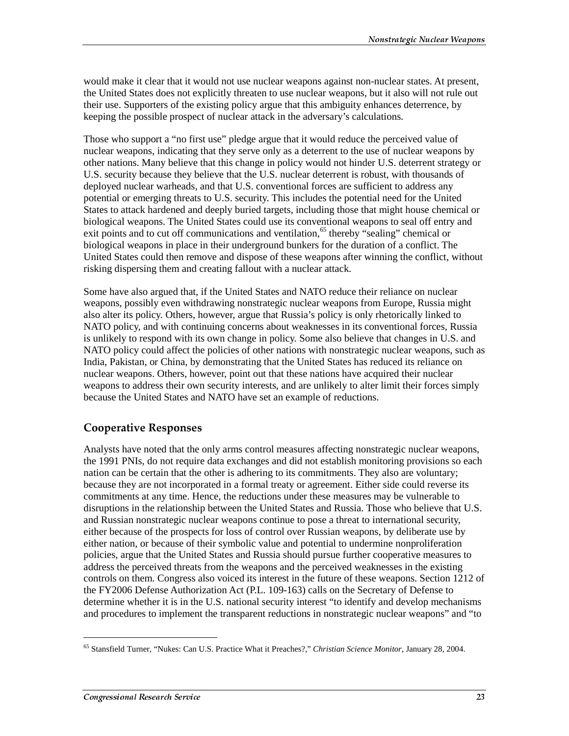would make it clear that it would not use nuclear weapons against non-nuclear states. At present, the United States does not explicitly threaten to use nuclear weapons, but it also will not rule out their use. Supporters of the existing policy argue that this ambiguity enhances deterrence, by keeping the possible prospect of nuclear attack in the adversary's calculations.

Those who support a "no first use" pledge argue that it would reduce the perceived value of nuclear weapons, indicating that they serve only as a deterrent to the use of nuclear weapons by other nations. Many believe that this change in policy would not hinder U.S. deterrent strategy or U.S. security because they believe that the U.S. nuclear deterrent is robust, with thousands of deployed nuclear warheads, and that U.S. conventional forces are sufficient to address any potential or emerging threats to U.S. security. This includes the potential need for the United States to attack hardened and deeply buried targets, including those that might house chemical or biological weapons. The United States could use its conventional weapons to seal off entry and exit points and to cut off communications and ventilation,<sup>65</sup> thereby "sealing" chemical or biological weapons in place in their underground bunkers for the duration of a conflict. The United States could then remove and dispose of these weapons after winning the conflict, without risking dispersing them and creating fallout with a nuclear attack.

Some have also argued that, if the United States and NATO reduce their reliance on nuclear weapons, possibly even withdrawing nonstrategic nuclear weapons from Europe, Russia might also alter its policy. Others, however, argue that Russia's policy is only rhetorically linked to NATO policy, and with continuing concerns about weaknesses in its conventional forces, Russia is unlikely to respond with its own change in policy. Some also believe that changes in U.S. and NATO policy could affect the policies of other nations with nonstrategic nuclear weapons, such as India, Pakistan, or China, by demonstrating that the United States has reduced its reliance on nuclear weapons. Others, however, point out that these nations have acquired their nuclear weapons to address their own security interests, and are unlikely to alter limit their forces simply because the United States and NATO have set an example of reductions.

#### **Cooperative Responses**

Analysts have noted that the only arms control measures affecting nonstrategic nuclear weapons, the 1991 PNIs, do not require data exchanges and did not establish monitoring provisions so each nation can be certain that the other is adhering to its commitments. They also are voluntary; because they are not incorporated in a formal treaty or agreement. Either side could reverse its commitments at any time. Hence, the reductions under these measures may be vulnerable to disruptions in the relationship between the United States and Russia. Those who believe that U.S. and Russian nonstrategic nuclear weapons continue to pose a threat to international security, either because of the prospects for loss of control over Russian weapons, by deliberate use by either nation, or because of their symbolic value and potential to undermine nonproliferation policies, argue that the United States and Russia should pursue further cooperative measures to address the perceived threats from the weapons and the perceived weaknesses in the existing controls on them. Congress also voiced its interest in the future of these weapons. Section 1212 of the FY2006 Defense Authorization Act (P.L. 109-163) calls on the Secretary of Defense to determine whether it is in the U.S. national security interest "to identify and develop mechanisms and procedures to implement the transparent reductions in nonstrategic nuclear weapons" and "to

<sup>65</sup> Stansfield Turner, "Nukes: Can U.S. Practice What it Preaches?," *Christian Science Monitor*, January 28, 2004.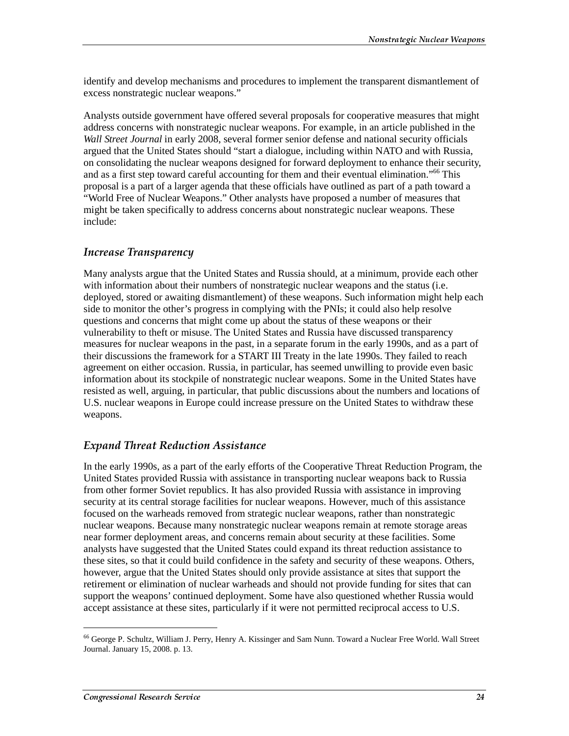identify and develop mechanisms and procedures to implement the transparent dismantlement of excess nonstrategic nuclear weapons."

Analysts outside government have offered several proposals for cooperative measures that might address concerns with nonstrategic nuclear weapons. For example, in an article published in the *Wall Street Journal* in early 2008, several former senior defense and national security officials argued that the United States should "start a dialogue, including within NATO and with Russia, on consolidating the nuclear weapons designed for forward deployment to enhance their security, and as a first step toward careful accounting for them and their eventual elimination."<sup>66</sup> This proposal is a part of a larger agenda that these officials have outlined as part of a path toward a "World Free of Nuclear Weapons." Other analysts have proposed a number of measures that might be taken specifically to address concerns about nonstrategic nuclear weapons. These include:

#### **Increase Transparency**

Many analysts argue that the United States and Russia should, at a minimum, provide each other with information about their numbers of nonstrategic nuclear weapons and the status (i.e. deployed, stored or awaiting dismantlement) of these weapons. Such information might help each side to monitor the other's progress in complying with the PNIs; it could also help resolve questions and concerns that might come up about the status of these weapons or their vulnerability to theft or misuse. The United States and Russia have discussed transparency measures for nuclear weapons in the past, in a separate forum in the early 1990s, and as a part of their discussions the framework for a START III Treaty in the late 1990s. They failed to reach agreement on either occasion. Russia, in particular, has seemed unwilling to provide even basic information about its stockpile of nonstrategic nuclear weapons. Some in the United States have resisted as well, arguing, in particular, that public discussions about the numbers and locations of U.S. nuclear weapons in Europe could increase pressure on the United States to withdraw these weapons.

#### **Expand Threat Reduction Assistance**

In the early 1990s, as a part of the early efforts of the Cooperative Threat Reduction Program, the United States provided Russia with assistance in transporting nuclear weapons back to Russia from other former Soviet republics. It has also provided Russia with assistance in improving security at its central storage facilities for nuclear weapons. However, much of this assistance focused on the warheads removed from strategic nuclear weapons, rather than nonstrategic nuclear weapons. Because many nonstrategic nuclear weapons remain at remote storage areas near former deployment areas, and concerns remain about security at these facilities. Some analysts have suggested that the United States could expand its threat reduction assistance to these sites, so that it could build confidence in the safety and security of these weapons. Others, however, argue that the United States should only provide assistance at sites that support the retirement or elimination of nuclear warheads and should not provide funding for sites that can support the weapons' continued deployment. Some have also questioned whether Russia would accept assistance at these sites, particularly if it were not permitted reciprocal access to U.S.

<sup>66</sup> George P. Schultz, William J. Perry, Henry A. Kissinger and Sam Nunn. Toward a Nuclear Free World. Wall Street Journal. January 15, 2008. p. 13.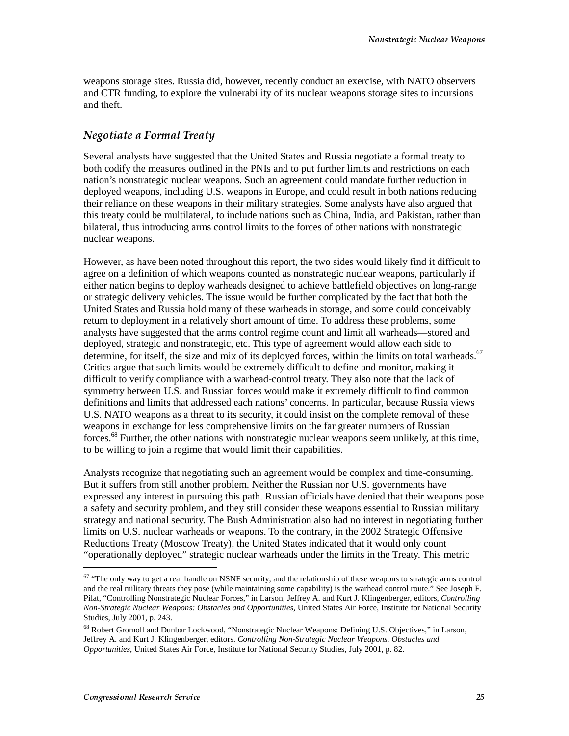weapons storage sites. Russia did, however, recently conduct an exercise, with NATO observers and CTR funding, to explore the vulnerability of its nuclear weapons storage sites to incursions and theft.

### Negotiate a Formal Treaty

Several analysts have suggested that the United States and Russia negotiate a formal treaty to both codify the measures outlined in the PNIs and to put further limits and restrictions on each nation's nonstrategic nuclear weapons. Such an agreement could mandate further reduction in deployed weapons, including U.S. weapons in Europe, and could result in both nations reducing their reliance on these weapons in their military strategies. Some analysts have also argued that this treaty could be multilateral, to include nations such as China, India, and Pakistan, rather than bilateral, thus introducing arms control limits to the forces of other nations with nonstrategic nuclear weapons.

However, as have been noted throughout this report, the two sides would likely find it difficult to agree on a definition of which weapons counted as nonstrategic nuclear weapons, particularly if either nation begins to deploy warheads designed to achieve battlefield objectives on long-range or strategic delivery vehicles. The issue would be further complicated by the fact that both the United States and Russia hold many of these warheads in storage, and some could conceivably return to deployment in a relatively short amount of time. To address these problems, some analysts have suggested that the arms control regime count and limit all warheads—stored and deployed, strategic and nonstrategic, etc. This type of agreement would allow each side to determine, for itself, the size and mix of its deployed forces, within the limits on total warheads.<sup>67</sup> Critics argue that such limits would be extremely difficult to define and monitor, making it difficult to verify compliance with a warhead-control treaty. They also note that the lack of symmetry between U.S. and Russian forces would make it extremely difficult to find common definitions and limits that addressed each nations' concerns. In particular, because Russia views U.S. NATO weapons as a threat to its security, it could insist on the complete removal of these weapons in exchange for less comprehensive limits on the far greater numbers of Russian forces.68 Further, the other nations with nonstrategic nuclear weapons seem unlikely, at this time, to be willing to join a regime that would limit their capabilities.

Analysts recognize that negotiating such an agreement would be complex and time-consuming. But it suffers from still another problem. Neither the Russian nor U.S. governments have expressed any interest in pursuing this path. Russian officials have denied that their weapons pose a safety and security problem, and they still consider these weapons essential to Russian military strategy and national security. The Bush Administration also had no interest in negotiating further limits on U.S. nuclear warheads or weapons. To the contrary, in the 2002 Strategic Offensive Reductions Treaty (Moscow Treaty), the United States indicated that it would only count "operationally deployed" strategic nuclear warheads under the limits in the Treaty. This metric

 $67$  "The only way to get a real handle on NSNF security, and the relationship of these weapons to strategic arms control and the real military threats they pose (while maintaining some capability) is the warhead control route." See Joseph F. Pilat, "Controlling Nonstrategic Nuclear Forces," in Larson, Jeffrey A. and Kurt J. Klingenberger, editors, *Controlling Non-Strategic Nuclear Weapons: Obstacles and Opportunities*, United States Air Force, Institute for National Security Studies, July 2001, p. 243.

<sup>68</sup> Robert Gromoll and Dunbar Lockwood, "Nonstrategic Nuclear Weapons: Defining U.S. Objectives," in Larson, Jeffrey A. and Kurt J. Klingenberger, editors. *Controlling Non-Strategic Nuclear Weapons. Obstacles and Opportunities*, United States Air Force, Institute for National Security Studies, July 2001, p. 82.